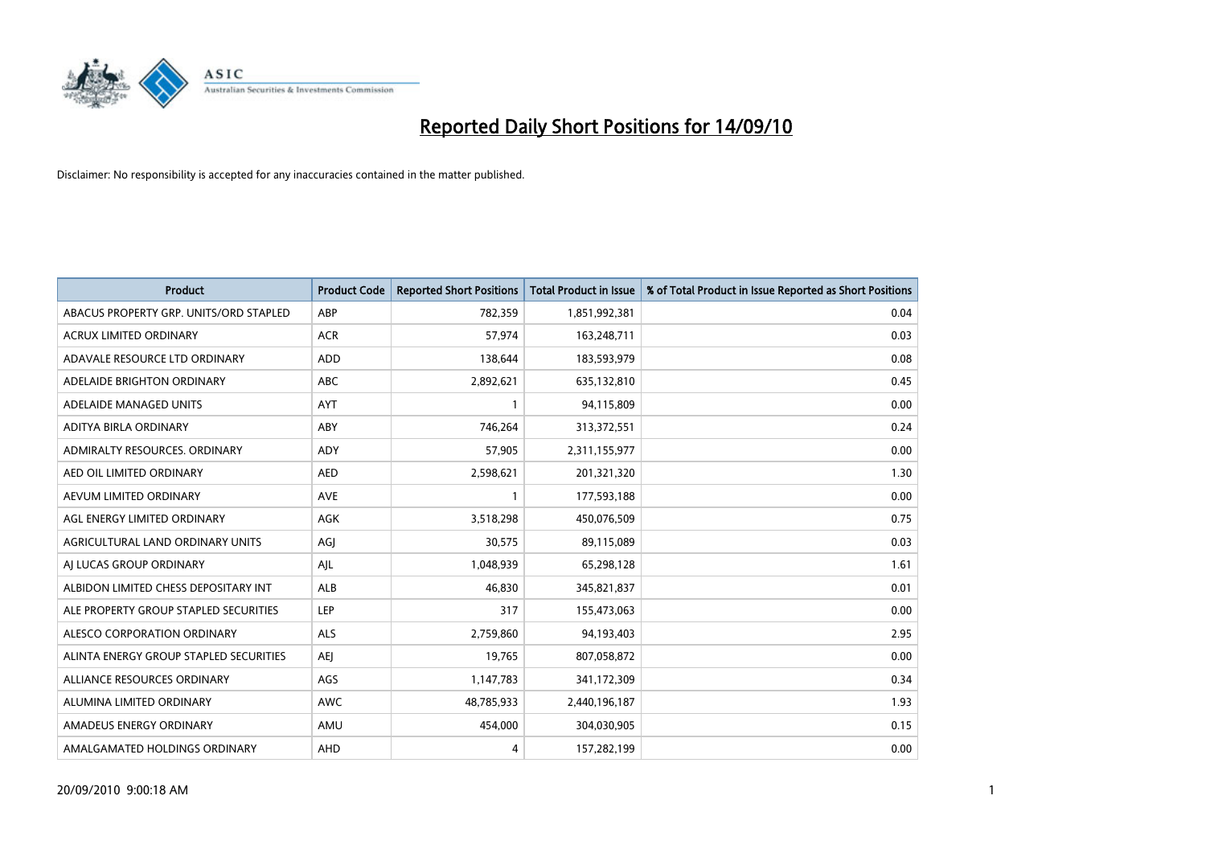

| <b>Product</b>                         | <b>Product Code</b> | <b>Reported Short Positions</b> | Total Product in Issue | % of Total Product in Issue Reported as Short Positions |
|----------------------------------------|---------------------|---------------------------------|------------------------|---------------------------------------------------------|
| ABACUS PROPERTY GRP. UNITS/ORD STAPLED | ABP                 | 782,359                         | 1,851,992,381          | 0.04                                                    |
| <b>ACRUX LIMITED ORDINARY</b>          | <b>ACR</b>          | 57.974                          | 163,248,711            | 0.03                                                    |
| ADAVALE RESOURCE LTD ORDINARY          | <b>ADD</b>          | 138,644                         | 183,593,979            | 0.08                                                    |
| ADELAIDE BRIGHTON ORDINARY             | <b>ABC</b>          | 2,892,621                       | 635,132,810            | 0.45                                                    |
| ADELAIDE MANAGED UNITS                 | AYT                 |                                 | 94,115,809             | 0.00                                                    |
| ADITYA BIRLA ORDINARY                  | ABY                 | 746,264                         | 313,372,551            | 0.24                                                    |
| ADMIRALTY RESOURCES, ORDINARY          | <b>ADY</b>          | 57.905                          | 2,311,155,977          | 0.00                                                    |
| AED OIL LIMITED ORDINARY               | <b>AED</b>          | 2,598,621                       | 201,321,320            | 1.30                                                    |
| AEVUM LIMITED ORDINARY                 | <b>AVE</b>          |                                 | 177,593,188            | 0.00                                                    |
| AGL ENERGY LIMITED ORDINARY            | <b>AGK</b>          | 3,518,298                       | 450,076,509            | 0.75                                                    |
| AGRICULTURAL LAND ORDINARY UNITS       | AGJ                 | 30,575                          | 89,115,089             | 0.03                                                    |
| AI LUCAS GROUP ORDINARY                | AJL                 | 1,048,939                       | 65,298,128             | 1.61                                                    |
| ALBIDON LIMITED CHESS DEPOSITARY INT   | ALB                 | 46.830                          | 345,821,837            | 0.01                                                    |
| ALE PROPERTY GROUP STAPLED SECURITIES  | LEP                 | 317                             | 155,473,063            | 0.00                                                    |
| ALESCO CORPORATION ORDINARY            | ALS                 | 2,759,860                       | 94,193,403             | 2.95                                                    |
| ALINTA ENERGY GROUP STAPLED SECURITIES | <b>AEI</b>          | 19,765                          | 807,058,872            | 0.00                                                    |
| ALLIANCE RESOURCES ORDINARY            | AGS                 | 1,147,783                       | 341,172,309            | 0.34                                                    |
| ALUMINA LIMITED ORDINARY               | <b>AWC</b>          | 48,785,933                      | 2,440,196,187          | 1.93                                                    |
| AMADEUS ENERGY ORDINARY                | AMU                 | 454,000                         | 304,030,905            | 0.15                                                    |
| AMALGAMATED HOLDINGS ORDINARY          | AHD                 | 4                               | 157,282,199            | 0.00                                                    |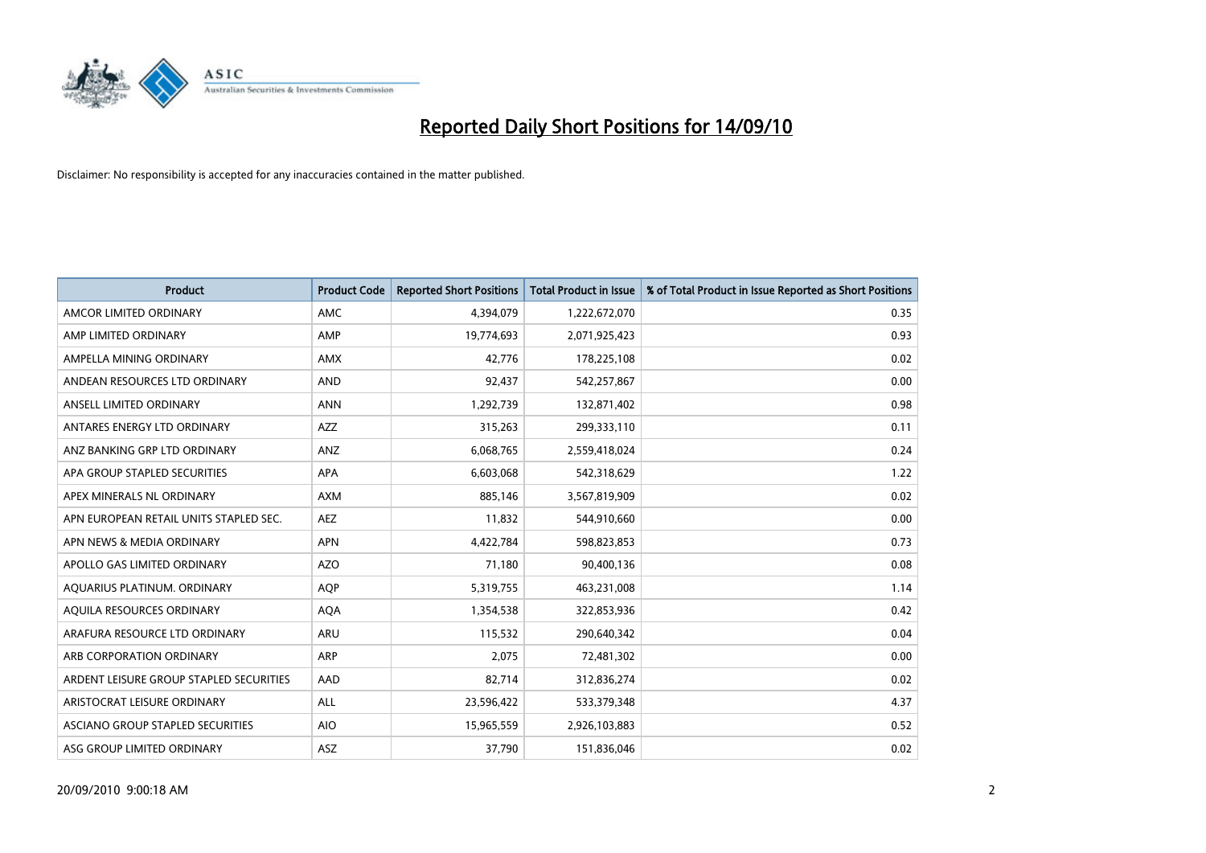

| <b>Product</b>                          | <b>Product Code</b> | <b>Reported Short Positions</b> | Total Product in Issue | % of Total Product in Issue Reported as Short Positions |
|-----------------------------------------|---------------------|---------------------------------|------------------------|---------------------------------------------------------|
| AMCOR LIMITED ORDINARY                  | <b>AMC</b>          | 4,394,079                       | 1,222,672,070          | 0.35                                                    |
| AMP LIMITED ORDINARY                    | AMP                 | 19,774,693                      | 2,071,925,423          | 0.93                                                    |
| AMPELLA MINING ORDINARY                 | <b>AMX</b>          | 42.776                          | 178,225,108            | 0.02                                                    |
| ANDEAN RESOURCES LTD ORDINARY           | <b>AND</b>          | 92,437                          | 542,257,867            | 0.00                                                    |
| ANSELL LIMITED ORDINARY                 | <b>ANN</b>          | 1,292,739                       | 132,871,402            | 0.98                                                    |
| ANTARES ENERGY LTD ORDINARY             | <b>AZZ</b>          | 315,263                         | 299,333,110            | 0.11                                                    |
| ANZ BANKING GRP LTD ORDINARY            | ANZ                 | 6,068,765                       | 2,559,418,024          | 0.24                                                    |
| APA GROUP STAPLED SECURITIES            | <b>APA</b>          | 6,603,068                       | 542,318,629            | 1.22                                                    |
| APEX MINERALS NL ORDINARY               | <b>AXM</b>          | 885,146                         | 3,567,819,909          | 0.02                                                    |
| APN EUROPEAN RETAIL UNITS STAPLED SEC.  | <b>AEZ</b>          | 11,832                          | 544,910,660            | 0.00                                                    |
| APN NEWS & MEDIA ORDINARY               | <b>APN</b>          | 4,422,784                       | 598,823,853            | 0.73                                                    |
| APOLLO GAS LIMITED ORDINARY             | <b>AZO</b>          | 71,180                          | 90,400,136             | 0.08                                                    |
| AQUARIUS PLATINUM. ORDINARY             | <b>AOP</b>          | 5,319,755                       | 463,231,008            | 1.14                                                    |
| AQUILA RESOURCES ORDINARY               | <b>AQA</b>          | 1,354,538                       | 322,853,936            | 0.42                                                    |
| ARAFURA RESOURCE LTD ORDINARY           | <b>ARU</b>          | 115,532                         | 290,640,342            | 0.04                                                    |
| ARB CORPORATION ORDINARY                | ARP                 | 2,075                           | 72,481,302             | 0.00                                                    |
| ARDENT LEISURE GROUP STAPLED SECURITIES | AAD                 | 82,714                          | 312,836,274            | 0.02                                                    |
| ARISTOCRAT LEISURE ORDINARY             | <b>ALL</b>          | 23,596,422                      | 533,379,348            | 4.37                                                    |
| ASCIANO GROUP STAPLED SECURITIES        | <b>AIO</b>          | 15,965,559                      | 2,926,103,883          | 0.52                                                    |
| ASG GROUP LIMITED ORDINARY              | <b>ASZ</b>          | 37,790                          | 151,836,046            | 0.02                                                    |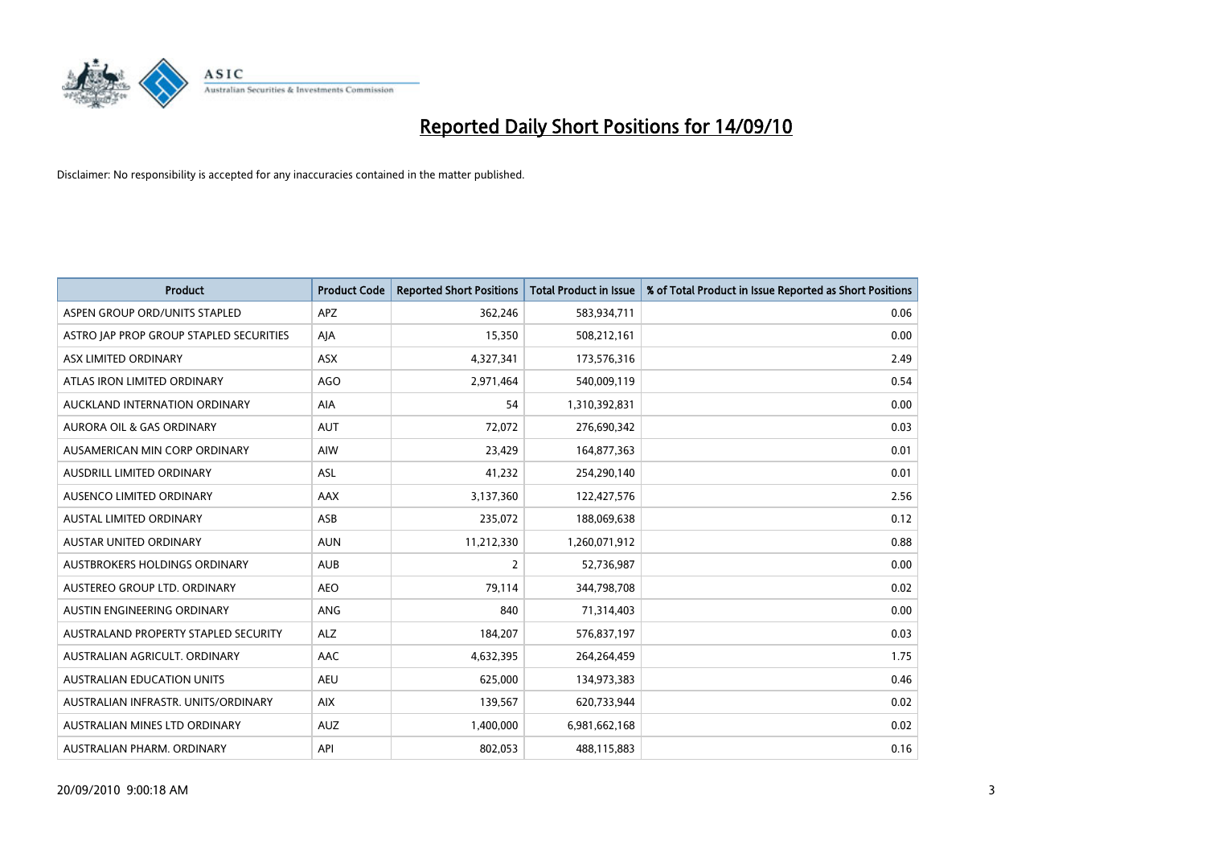

| <b>Product</b>                          | <b>Product Code</b> | <b>Reported Short Positions</b> | Total Product in Issue | % of Total Product in Issue Reported as Short Positions |
|-----------------------------------------|---------------------|---------------------------------|------------------------|---------------------------------------------------------|
| ASPEN GROUP ORD/UNITS STAPLED           | <b>APZ</b>          | 362,246                         | 583,934,711            | 0.06                                                    |
| ASTRO JAP PROP GROUP STAPLED SECURITIES | AJA                 | 15,350                          | 508,212,161            | 0.00                                                    |
| ASX LIMITED ORDINARY                    | <b>ASX</b>          | 4,327,341                       | 173,576,316            | 2.49                                                    |
| ATLAS IRON LIMITED ORDINARY             | <b>AGO</b>          | 2,971,464                       | 540,009,119            | 0.54                                                    |
| AUCKLAND INTERNATION ORDINARY           | AIA                 | 54                              | 1,310,392,831          | 0.00                                                    |
| <b>AURORA OIL &amp; GAS ORDINARY</b>    | <b>AUT</b>          | 72,072                          | 276,690,342            | 0.03                                                    |
| AUSAMERICAN MIN CORP ORDINARY           | AIW                 | 23,429                          | 164,877,363            | 0.01                                                    |
| AUSDRILL LIMITED ORDINARY               | ASL                 | 41,232                          | 254,290,140            | 0.01                                                    |
| AUSENCO LIMITED ORDINARY                | AAX                 | 3,137,360                       | 122,427,576            | 2.56                                                    |
| <b>AUSTAL LIMITED ORDINARY</b>          | ASB                 | 235,072                         | 188,069,638            | 0.12                                                    |
| AUSTAR UNITED ORDINARY                  | <b>AUN</b>          | 11,212,330                      | 1,260,071,912          | 0.88                                                    |
| <b>AUSTBROKERS HOLDINGS ORDINARY</b>    | <b>AUB</b>          | $\overline{2}$                  | 52,736,987             | 0.00                                                    |
| AUSTEREO GROUP LTD. ORDINARY            | <b>AEO</b>          | 79,114                          | 344,798,708            | 0.02                                                    |
| AUSTIN ENGINEERING ORDINARY             | ANG                 | 840                             | 71,314,403             | 0.00                                                    |
| AUSTRALAND PROPERTY STAPLED SECURITY    | <b>ALZ</b>          | 184,207                         | 576,837,197            | 0.03                                                    |
| AUSTRALIAN AGRICULT, ORDINARY           | AAC                 | 4,632,395                       | 264,264,459            | 1.75                                                    |
| <b>AUSTRALIAN EDUCATION UNITS</b>       | <b>AEU</b>          | 625,000                         | 134,973,383            | 0.46                                                    |
| AUSTRALIAN INFRASTR. UNITS/ORDINARY     | <b>AIX</b>          | 139,567                         | 620,733,944            | 0.02                                                    |
| AUSTRALIAN MINES LTD ORDINARY           | <b>AUZ</b>          | 1,400,000                       | 6,981,662,168          | 0.02                                                    |
| AUSTRALIAN PHARM. ORDINARY              | API                 | 802,053                         | 488,115,883            | 0.16                                                    |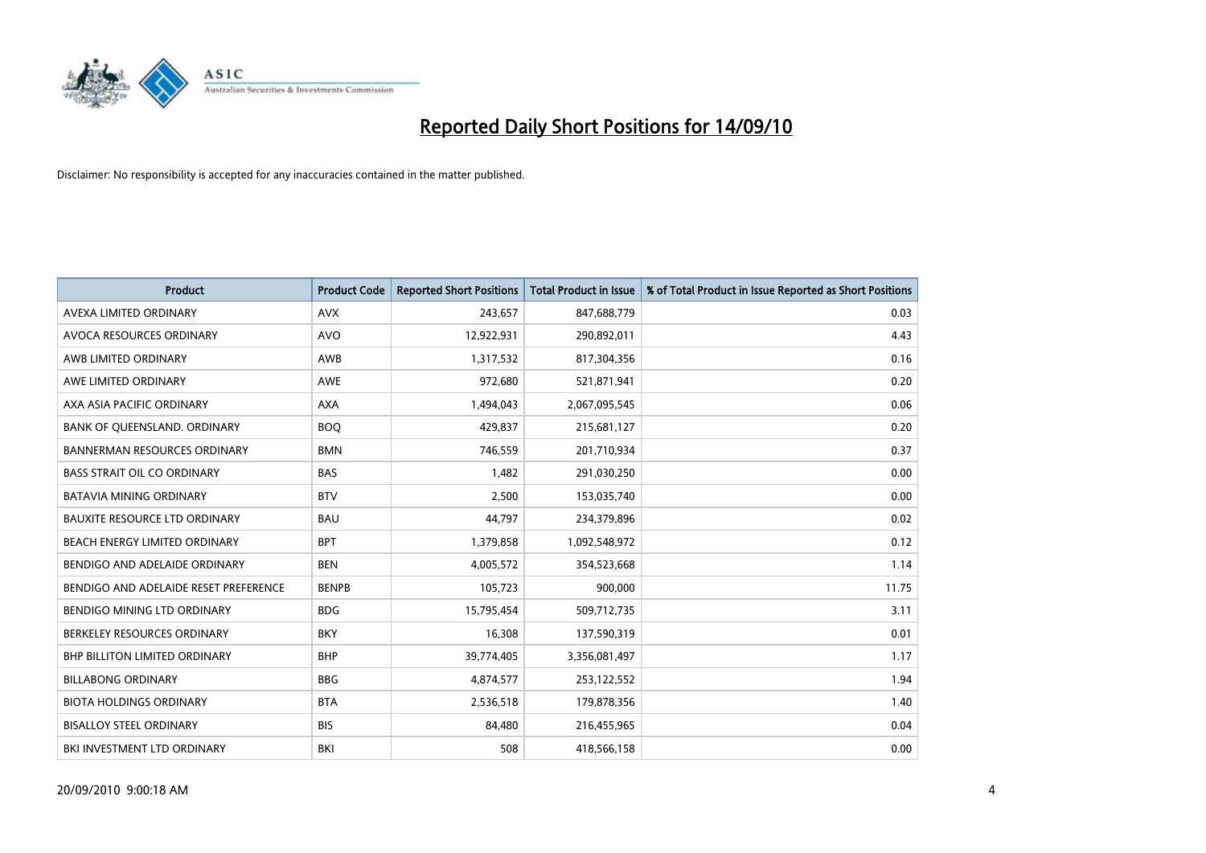

| <b>Product</b>                        | <b>Product Code</b> | <b>Reported Short Positions</b> | <b>Total Product in Issue</b> | % of Total Product in Issue Reported as Short Positions |
|---------------------------------------|---------------------|---------------------------------|-------------------------------|---------------------------------------------------------|
| AVEXA LIMITED ORDINARY                | <b>AVX</b>          | 243,657                         | 847,688,779                   | 0.03                                                    |
| AVOCA RESOURCES ORDINARY              | <b>AVO</b>          | 12,922,931                      | 290,892,011                   | 4.43                                                    |
| AWB LIMITED ORDINARY                  | AWB                 | 1,317,532                       | 817,304,356                   | 0.16                                                    |
| AWE LIMITED ORDINARY                  | <b>AWE</b>          | 972,680                         | 521,871,941                   | 0.20                                                    |
| AXA ASIA PACIFIC ORDINARY             | <b>AXA</b>          | 1,494,043                       | 2,067,095,545                 | 0.06                                                    |
| BANK OF QUEENSLAND. ORDINARY          | <b>BOQ</b>          | 429,837                         | 215,681,127                   | 0.20                                                    |
| <b>BANNERMAN RESOURCES ORDINARY</b>   | <b>BMN</b>          | 746,559                         | 201,710,934                   | 0.37                                                    |
| <b>BASS STRAIT OIL CO ORDINARY</b>    | <b>BAS</b>          | 1,482                           | 291,030,250                   | 0.00                                                    |
| <b>BATAVIA MINING ORDINARY</b>        | <b>BTV</b>          | 2,500                           | 153,035,740                   | 0.00                                                    |
| <b>BAUXITE RESOURCE LTD ORDINARY</b>  | <b>BAU</b>          | 44,797                          | 234,379,896                   | 0.02                                                    |
| BEACH ENERGY LIMITED ORDINARY         | <b>BPT</b>          | 1,379,858                       | 1,092,548,972                 | 0.12                                                    |
| BENDIGO AND ADELAIDE ORDINARY         | <b>BEN</b>          | 4,005,572                       | 354,523,668                   | 1.14                                                    |
| BENDIGO AND ADELAIDE RESET PREFERENCE | <b>BENPB</b>        | 105,723                         | 900,000                       | 11.75                                                   |
| BENDIGO MINING LTD ORDINARY           | <b>BDG</b>          | 15,795,454                      | 509,712,735                   | 3.11                                                    |
| BERKELEY RESOURCES ORDINARY           | <b>BKY</b>          | 16,308                          | 137,590,319                   | 0.01                                                    |
| <b>BHP BILLITON LIMITED ORDINARY</b>  | <b>BHP</b>          | 39,774,405                      | 3,356,081,497                 | 1.17                                                    |
| <b>BILLABONG ORDINARY</b>             | <b>BBG</b>          | 4,874,577                       | 253,122,552                   | 1.94                                                    |
| <b>BIOTA HOLDINGS ORDINARY</b>        | <b>BTA</b>          | 2,536,518                       | 179,878,356                   | 1.40                                                    |
| <b>BISALLOY STEEL ORDINARY</b>        | <b>BIS</b>          | 84,480                          | 216,455,965                   | 0.04                                                    |
| BKI INVESTMENT LTD ORDINARY           | BKI                 | 508                             | 418,566,158                   | 0.00                                                    |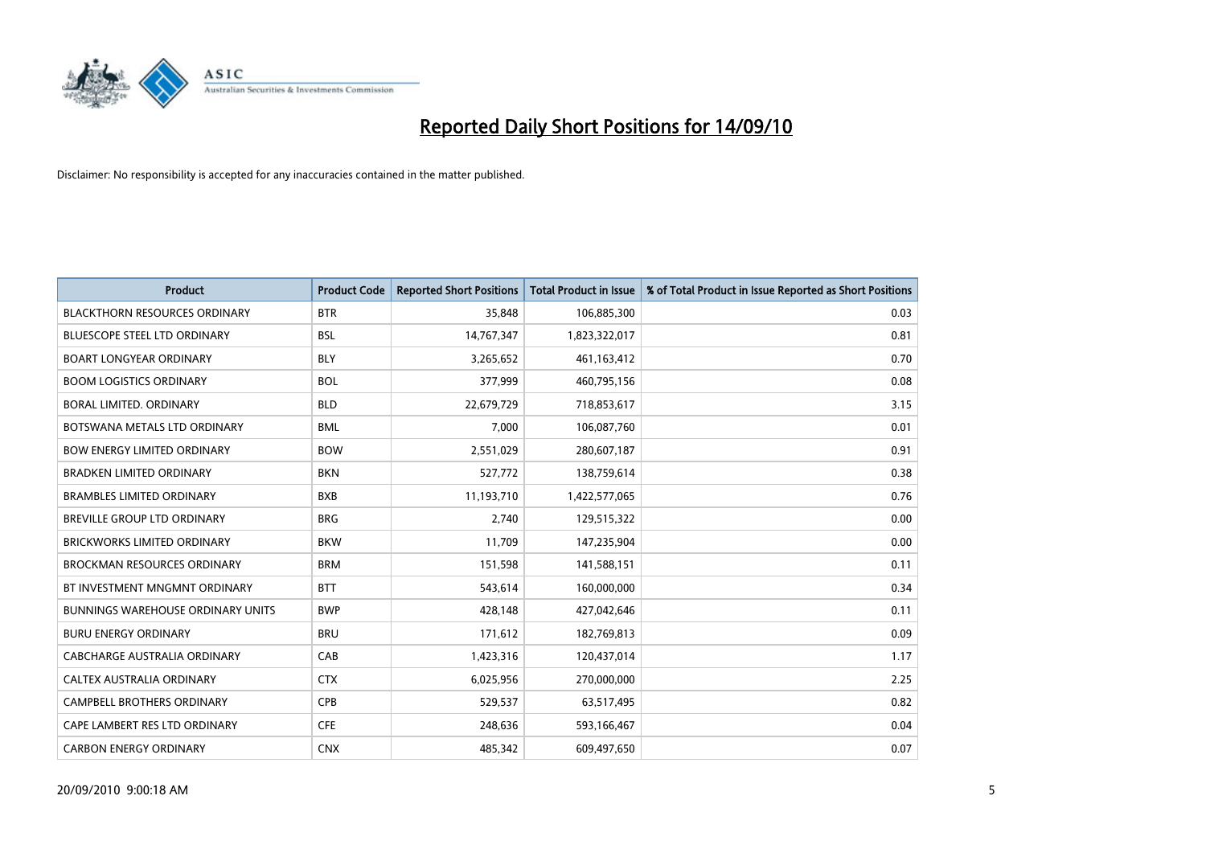

| <b>Product</b>                           | <b>Product Code</b> | <b>Reported Short Positions</b> | <b>Total Product in Issue</b> | % of Total Product in Issue Reported as Short Positions |
|------------------------------------------|---------------------|---------------------------------|-------------------------------|---------------------------------------------------------|
| <b>BLACKTHORN RESOURCES ORDINARY</b>     | <b>BTR</b>          | 35,848                          | 106,885,300                   | 0.03                                                    |
| BLUESCOPE STEEL LTD ORDINARY             | <b>BSL</b>          | 14,767,347                      | 1,823,322,017                 | 0.81                                                    |
| <b>BOART LONGYEAR ORDINARY</b>           | <b>BLY</b>          | 3,265,652                       | 461,163,412                   | 0.70                                                    |
| <b>BOOM LOGISTICS ORDINARY</b>           | <b>BOL</b>          | 377,999                         | 460,795,156                   | 0.08                                                    |
| <b>BORAL LIMITED, ORDINARY</b>           | <b>BLD</b>          | 22,679,729                      | 718,853,617                   | 3.15                                                    |
| BOTSWANA METALS LTD ORDINARY             | <b>BML</b>          | 7,000                           | 106,087,760                   | 0.01                                                    |
| <b>BOW ENERGY LIMITED ORDINARY</b>       | <b>BOW</b>          | 2,551,029                       | 280,607,187                   | 0.91                                                    |
| <b>BRADKEN LIMITED ORDINARY</b>          | <b>BKN</b>          | 527,772                         | 138,759,614                   | 0.38                                                    |
| <b>BRAMBLES LIMITED ORDINARY</b>         | <b>BXB</b>          | 11,193,710                      | 1,422,577,065                 | 0.76                                                    |
| <b>BREVILLE GROUP LTD ORDINARY</b>       | <b>BRG</b>          | 2,740                           | 129,515,322                   | 0.00                                                    |
| BRICKWORKS LIMITED ORDINARY              | <b>BKW</b>          | 11,709                          | 147,235,904                   | 0.00                                                    |
| <b>BROCKMAN RESOURCES ORDINARY</b>       | <b>BRM</b>          | 151,598                         | 141,588,151                   | 0.11                                                    |
| BT INVESTMENT MNGMNT ORDINARY            | <b>BTT</b>          | 543,614                         | 160,000,000                   | 0.34                                                    |
| <b>BUNNINGS WAREHOUSE ORDINARY UNITS</b> | <b>BWP</b>          | 428,148                         | 427,042,646                   | 0.11                                                    |
| <b>BURU ENERGY ORDINARY</b>              | <b>BRU</b>          | 171,612                         | 182,769,813                   | 0.09                                                    |
| CABCHARGE AUSTRALIA ORDINARY             | CAB                 | 1,423,316                       | 120,437,014                   | 1.17                                                    |
| CALTEX AUSTRALIA ORDINARY                | <b>CTX</b>          | 6,025,956                       | 270,000,000                   | 2.25                                                    |
| CAMPBELL BROTHERS ORDINARY               | <b>CPB</b>          | 529,537                         | 63,517,495                    | 0.82                                                    |
| CAPE LAMBERT RES LTD ORDINARY            | <b>CFE</b>          | 248,636                         | 593,166,467                   | 0.04                                                    |
| <b>CARBON ENERGY ORDINARY</b>            | <b>CNX</b>          | 485,342                         | 609,497,650                   | 0.07                                                    |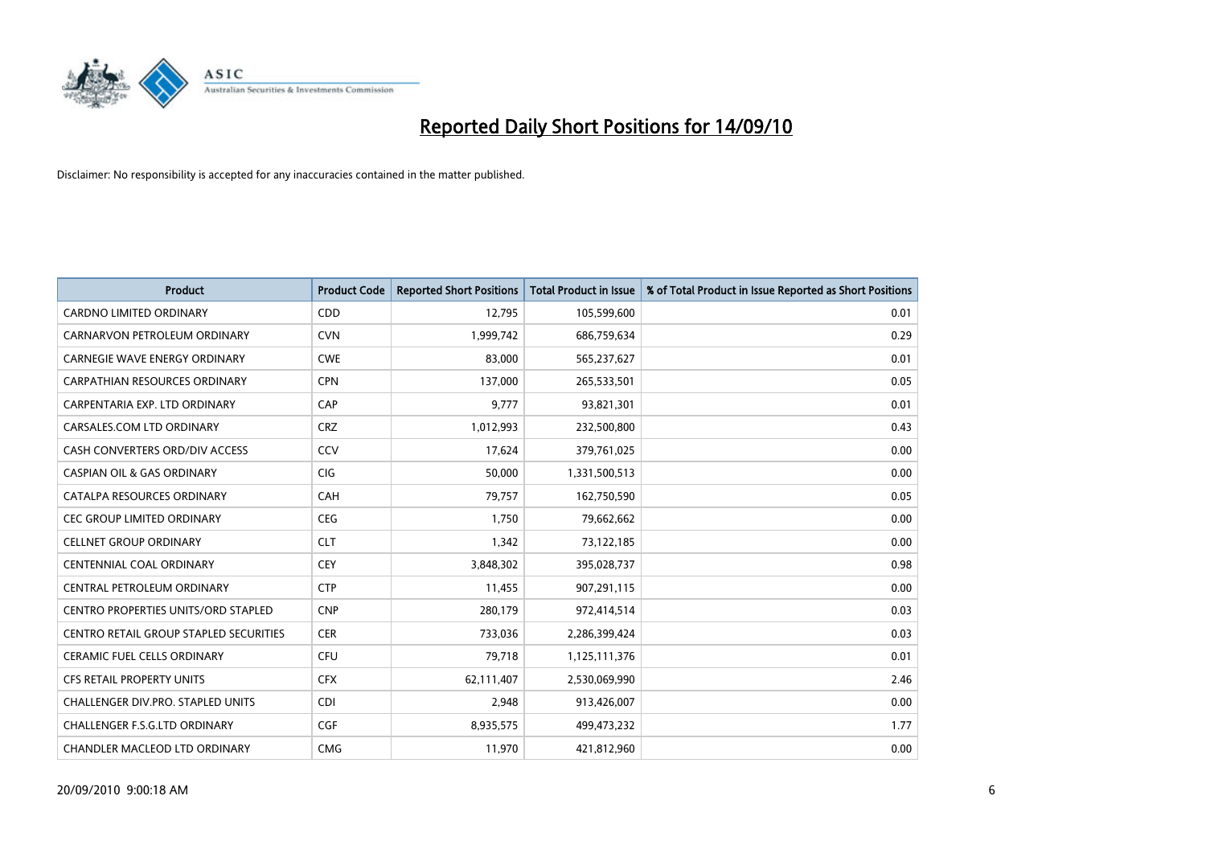

| <b>Product</b>                                | <b>Product Code</b> | <b>Reported Short Positions</b> | <b>Total Product in Issue</b> | % of Total Product in Issue Reported as Short Positions |
|-----------------------------------------------|---------------------|---------------------------------|-------------------------------|---------------------------------------------------------|
| <b>CARDNO LIMITED ORDINARY</b>                | CDD                 | 12.795                          | 105,599,600                   | 0.01                                                    |
| CARNARVON PETROLEUM ORDINARY                  | <b>CVN</b>          | 1,999,742                       | 686,759,634                   | 0.29                                                    |
| <b>CARNEGIE WAVE ENERGY ORDINARY</b>          | <b>CWE</b>          | 83,000                          | 565,237,627                   | 0.01                                                    |
| CARPATHIAN RESOURCES ORDINARY                 | <b>CPN</b>          | 137,000                         | 265,533,501                   | 0.05                                                    |
| CARPENTARIA EXP. LTD ORDINARY                 | CAP                 | 9,777                           | 93,821,301                    | 0.01                                                    |
| CARSALES.COM LTD ORDINARY                     | <b>CRZ</b>          | 1,012,993                       | 232,500,800                   | 0.43                                                    |
| CASH CONVERTERS ORD/DIV ACCESS                | CCV                 | 17,624                          | 379,761,025                   | 0.00                                                    |
| <b>CASPIAN OIL &amp; GAS ORDINARY</b>         | <b>CIG</b>          | 50,000                          | 1,331,500,513                 | 0.00                                                    |
| CATALPA RESOURCES ORDINARY                    | CAH                 | 79,757                          | 162,750,590                   | 0.05                                                    |
| CEC GROUP LIMITED ORDINARY                    | CEG                 | 1,750                           | 79,662,662                    | 0.00                                                    |
| <b>CELLNET GROUP ORDINARY</b>                 | <b>CLT</b>          | 1,342                           | 73,122,185                    | 0.00                                                    |
| <b>CENTENNIAL COAL ORDINARY</b>               | <b>CEY</b>          | 3,848,302                       | 395,028,737                   | 0.98                                                    |
| CENTRAL PETROLEUM ORDINARY                    | <b>CTP</b>          | 11,455                          | 907,291,115                   | 0.00                                                    |
| <b>CENTRO PROPERTIES UNITS/ORD STAPLED</b>    | <b>CNP</b>          | 280,179                         | 972,414,514                   | 0.03                                                    |
| <b>CENTRO RETAIL GROUP STAPLED SECURITIES</b> | <b>CER</b>          | 733,036                         | 2,286,399,424                 | 0.03                                                    |
| <b>CERAMIC FUEL CELLS ORDINARY</b>            | <b>CFU</b>          | 79,718                          | 1,125,111,376                 | 0.01                                                    |
| CFS RETAIL PROPERTY UNITS                     | <b>CFX</b>          | 62,111,407                      | 2,530,069,990                 | 2.46                                                    |
| CHALLENGER DIV.PRO. STAPLED UNITS             | <b>CDI</b>          | 2,948                           | 913,426,007                   | 0.00                                                    |
| CHALLENGER F.S.G.LTD ORDINARY                 | <b>CGF</b>          | 8,935,575                       | 499,473,232                   | 1.77                                                    |
| CHANDLER MACLEOD LTD ORDINARY                 | <b>CMG</b>          | 11,970                          | 421,812,960                   | 0.00                                                    |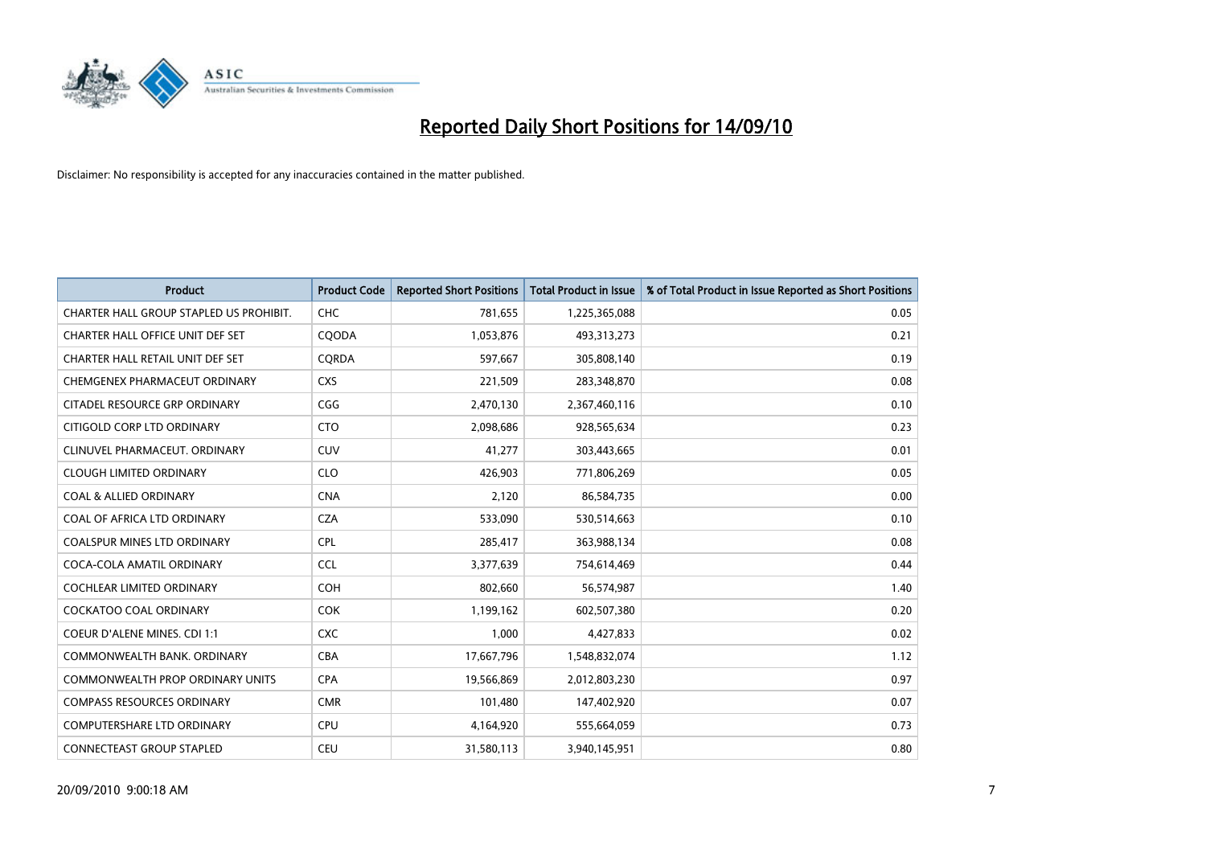

| <b>Product</b>                          | <b>Product Code</b> | <b>Reported Short Positions</b> | <b>Total Product in Issue</b> | % of Total Product in Issue Reported as Short Positions |
|-----------------------------------------|---------------------|---------------------------------|-------------------------------|---------------------------------------------------------|
| CHARTER HALL GROUP STAPLED US PROHIBIT. | <b>CHC</b>          | 781,655                         | 1,225,365,088                 | 0.05                                                    |
| CHARTER HALL OFFICE UNIT DEF SET        | COODA               | 1,053,876                       | 493,313,273                   | 0.21                                                    |
| CHARTER HALL RETAIL UNIT DEF SET        | CORDA               | 597,667                         | 305,808,140                   | 0.19                                                    |
| CHEMGENEX PHARMACEUT ORDINARY           | <b>CXS</b>          | 221,509                         | 283,348,870                   | 0.08                                                    |
| CITADEL RESOURCE GRP ORDINARY           | CGG                 | 2,470,130                       | 2,367,460,116                 | 0.10                                                    |
| CITIGOLD CORP LTD ORDINARY              | <b>CTO</b>          | 2,098,686                       | 928,565,634                   | 0.23                                                    |
| CLINUVEL PHARMACEUT. ORDINARY           | <b>CUV</b>          | 41,277                          | 303,443,665                   | 0.01                                                    |
| <b>CLOUGH LIMITED ORDINARY</b>          | <b>CLO</b>          | 426,903                         | 771,806,269                   | 0.05                                                    |
| <b>COAL &amp; ALLIED ORDINARY</b>       | <b>CNA</b>          | 2,120                           | 86,584,735                    | 0.00                                                    |
| COAL OF AFRICA LTD ORDINARY             | <b>CZA</b>          | 533,090                         | 530,514,663                   | 0.10                                                    |
| COALSPUR MINES LTD ORDINARY             | <b>CPL</b>          | 285,417                         | 363,988,134                   | 0.08                                                    |
| COCA-COLA AMATIL ORDINARY               | <b>CCL</b>          | 3,377,639                       | 754,614,469                   | 0.44                                                    |
| COCHLEAR LIMITED ORDINARY               | COH                 | 802,660                         | 56,574,987                    | 1.40                                                    |
| <b>COCKATOO COAL ORDINARY</b>           | <b>COK</b>          | 1,199,162                       | 602,507,380                   | 0.20                                                    |
| <b>COEUR D'ALENE MINES. CDI 1:1</b>     | <b>CXC</b>          | 1,000                           | 4,427,833                     | 0.02                                                    |
| COMMONWEALTH BANK, ORDINARY             | CBA                 | 17,667,796                      | 1,548,832,074                 | 1.12                                                    |
| COMMONWEALTH PROP ORDINARY UNITS        | <b>CPA</b>          | 19,566,869                      | 2,012,803,230                 | 0.97                                                    |
| <b>COMPASS RESOURCES ORDINARY</b>       | <b>CMR</b>          | 101,480                         | 147,402,920                   | 0.07                                                    |
| <b>COMPUTERSHARE LTD ORDINARY</b>       | <b>CPU</b>          | 4,164,920                       | 555,664,059                   | 0.73                                                    |
| CONNECTEAST GROUP STAPLED               | CEU                 | 31,580,113                      | 3,940,145,951                 | 0.80                                                    |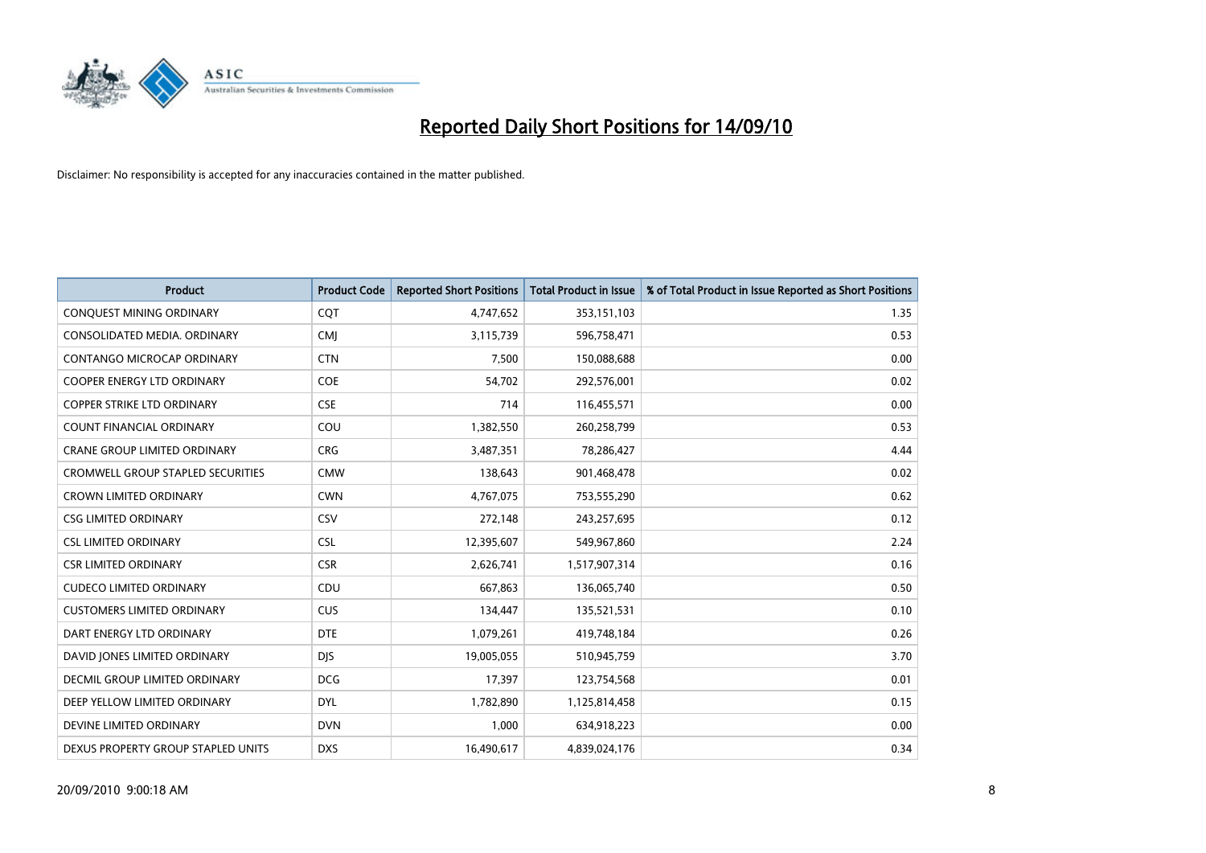

| <b>Product</b>                           | <b>Product Code</b> | <b>Reported Short Positions</b> | Total Product in Issue | % of Total Product in Issue Reported as Short Positions |
|------------------------------------------|---------------------|---------------------------------|------------------------|---------------------------------------------------------|
| <b>CONQUEST MINING ORDINARY</b>          | CQT                 | 4,747,652                       | 353,151,103            | 1.35                                                    |
| CONSOLIDATED MEDIA, ORDINARY             | <b>CMI</b>          | 3,115,739                       | 596,758,471            | 0.53                                                    |
| <b>CONTANGO MICROCAP ORDINARY</b>        | <b>CTN</b>          | 7,500                           | 150,088,688            | 0.00                                                    |
| COOPER ENERGY LTD ORDINARY               | COE                 | 54,702                          | 292,576,001            | 0.02                                                    |
| <b>COPPER STRIKE LTD ORDINARY</b>        | <b>CSE</b>          | 714                             | 116,455,571            | 0.00                                                    |
| <b>COUNT FINANCIAL ORDINARY</b>          | COU                 | 1,382,550                       | 260,258,799            | 0.53                                                    |
| <b>CRANE GROUP LIMITED ORDINARY</b>      | <b>CRG</b>          | 3,487,351                       | 78,286,427             | 4.44                                                    |
| <b>CROMWELL GROUP STAPLED SECURITIES</b> | <b>CMW</b>          | 138,643                         | 901,468,478            | 0.02                                                    |
| CROWN LIMITED ORDINARY                   | <b>CWN</b>          | 4,767,075                       | 753,555,290            | 0.62                                                    |
| <b>CSG LIMITED ORDINARY</b>              | CSV                 | 272,148                         | 243,257,695            | 0.12                                                    |
| <b>CSL LIMITED ORDINARY</b>              | <b>CSL</b>          | 12,395,607                      | 549,967,860            | 2.24                                                    |
| <b>CSR LIMITED ORDINARY</b>              | <b>CSR</b>          | 2,626,741                       | 1,517,907,314          | 0.16                                                    |
| <b>CUDECO LIMITED ORDINARY</b>           | CDU                 | 667.863                         | 136,065,740            | 0.50                                                    |
| <b>CUSTOMERS LIMITED ORDINARY</b>        | CUS                 | 134,447                         | 135,521,531            | 0.10                                                    |
| DART ENERGY LTD ORDINARY                 | <b>DTE</b>          | 1,079,261                       | 419,748,184            | 0.26                                                    |
| DAVID JONES LIMITED ORDINARY             | <b>DIS</b>          | 19,005,055                      | 510,945,759            | 3.70                                                    |
| <b>DECMIL GROUP LIMITED ORDINARY</b>     | <b>DCG</b>          | 17,397                          | 123,754,568            | 0.01                                                    |
| DEEP YELLOW LIMITED ORDINARY             | <b>DYL</b>          | 1,782,890                       | 1,125,814,458          | 0.15                                                    |
| DEVINE LIMITED ORDINARY                  | <b>DVN</b>          | 1,000                           | 634,918,223            | 0.00                                                    |
| DEXUS PROPERTY GROUP STAPLED UNITS       | <b>DXS</b>          | 16,490,617                      | 4,839,024,176          | 0.34                                                    |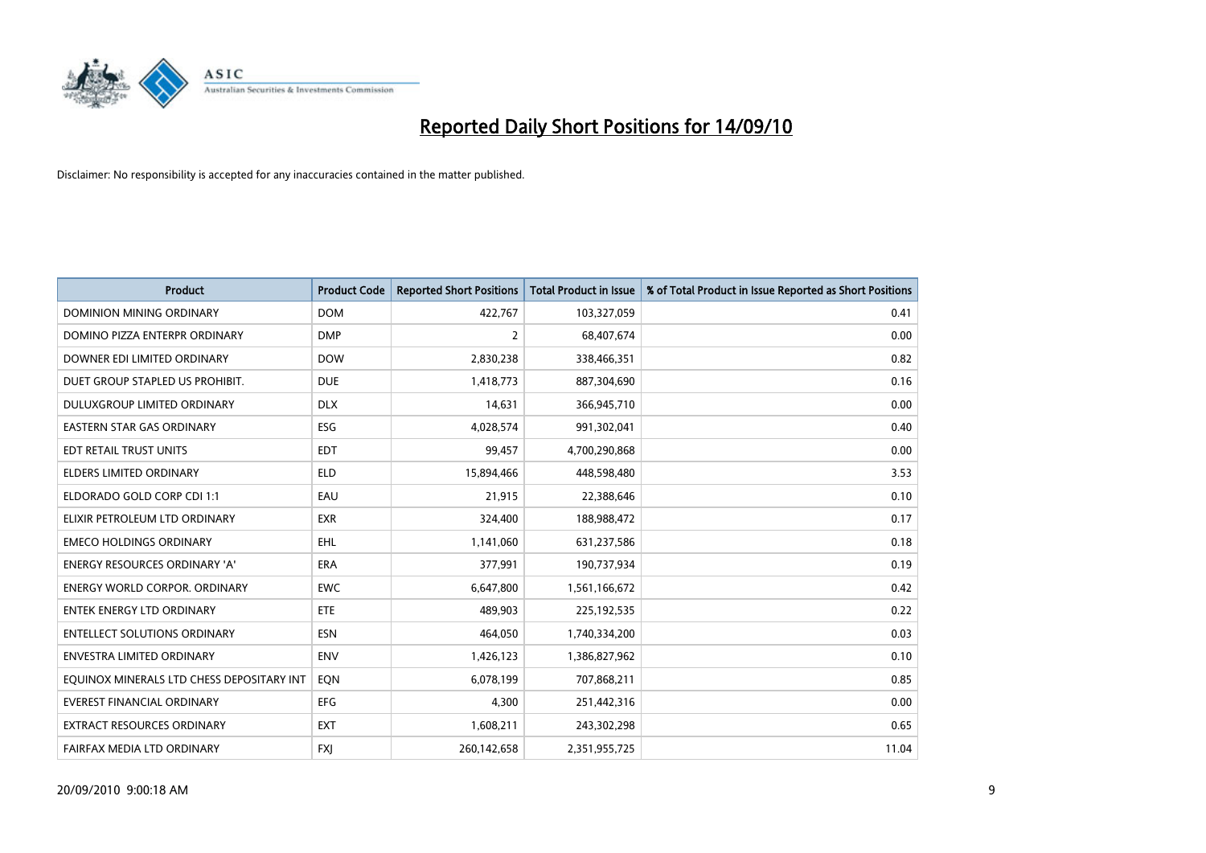

| <b>Product</b>                            | <b>Product Code</b> | <b>Reported Short Positions</b> | <b>Total Product in Issue</b> | % of Total Product in Issue Reported as Short Positions |
|-------------------------------------------|---------------------|---------------------------------|-------------------------------|---------------------------------------------------------|
| <b>DOMINION MINING ORDINARY</b>           | <b>DOM</b>          | 422.767                         | 103,327,059                   | 0.41                                                    |
| DOMINO PIZZA ENTERPR ORDINARY             | <b>DMP</b>          | 2                               | 68,407,674                    | 0.00                                                    |
| DOWNER EDI LIMITED ORDINARY               | <b>DOW</b>          | 2,830,238                       | 338,466,351                   | 0.82                                                    |
| DUET GROUP STAPLED US PROHIBIT.           | <b>DUE</b>          | 1,418,773                       | 887,304,690                   | 0.16                                                    |
| DULUXGROUP LIMITED ORDINARY               | <b>DLX</b>          | 14,631                          | 366,945,710                   | 0.00                                                    |
| <b>EASTERN STAR GAS ORDINARY</b>          | <b>ESG</b>          | 4,028,574                       | 991,302,041                   | 0.40                                                    |
| EDT RETAIL TRUST UNITS                    | <b>EDT</b>          | 99,457                          | 4,700,290,868                 | 0.00                                                    |
| <b>ELDERS LIMITED ORDINARY</b>            | <b>ELD</b>          | 15,894,466                      | 448,598,480                   | 3.53                                                    |
| ELDORADO GOLD CORP CDI 1:1                | EAU                 | 21,915                          | 22,388,646                    | 0.10                                                    |
| ELIXIR PETROLEUM LTD ORDINARY             | <b>EXR</b>          | 324.400                         | 188,988,472                   | 0.17                                                    |
| <b>EMECO HOLDINGS ORDINARY</b>            | EHL                 | 1,141,060                       | 631,237,586                   | 0.18                                                    |
| <b>ENERGY RESOURCES ORDINARY 'A'</b>      | <b>ERA</b>          | 377,991                         | 190,737,934                   | 0.19                                                    |
| <b>ENERGY WORLD CORPOR, ORDINARY</b>      | <b>EWC</b>          | 6,647,800                       | 1,561,166,672                 | 0.42                                                    |
| <b>ENTEK ENERGY LTD ORDINARY</b>          | ETE                 | 489,903                         | 225, 192, 535                 | 0.22                                                    |
| <b>ENTELLECT SOLUTIONS ORDINARY</b>       | <b>ESN</b>          | 464.050                         | 1,740,334,200                 | 0.03                                                    |
| <b>ENVESTRA LIMITED ORDINARY</b>          | <b>ENV</b>          | 1,426,123                       | 1,386,827,962                 | 0.10                                                    |
| EQUINOX MINERALS LTD CHESS DEPOSITARY INT | EQN                 | 6,078,199                       | 707,868,211                   | 0.85                                                    |
| <b>EVEREST FINANCIAL ORDINARY</b>         | <b>EFG</b>          | 4,300                           | 251,442,316                   | 0.00                                                    |
| <b>EXTRACT RESOURCES ORDINARY</b>         | <b>EXT</b>          | 1,608,211                       | 243,302,298                   | 0.65                                                    |
| FAIRFAX MEDIA LTD ORDINARY                | <b>FXI</b>          | 260,142,658                     | 2,351,955,725                 | 11.04                                                   |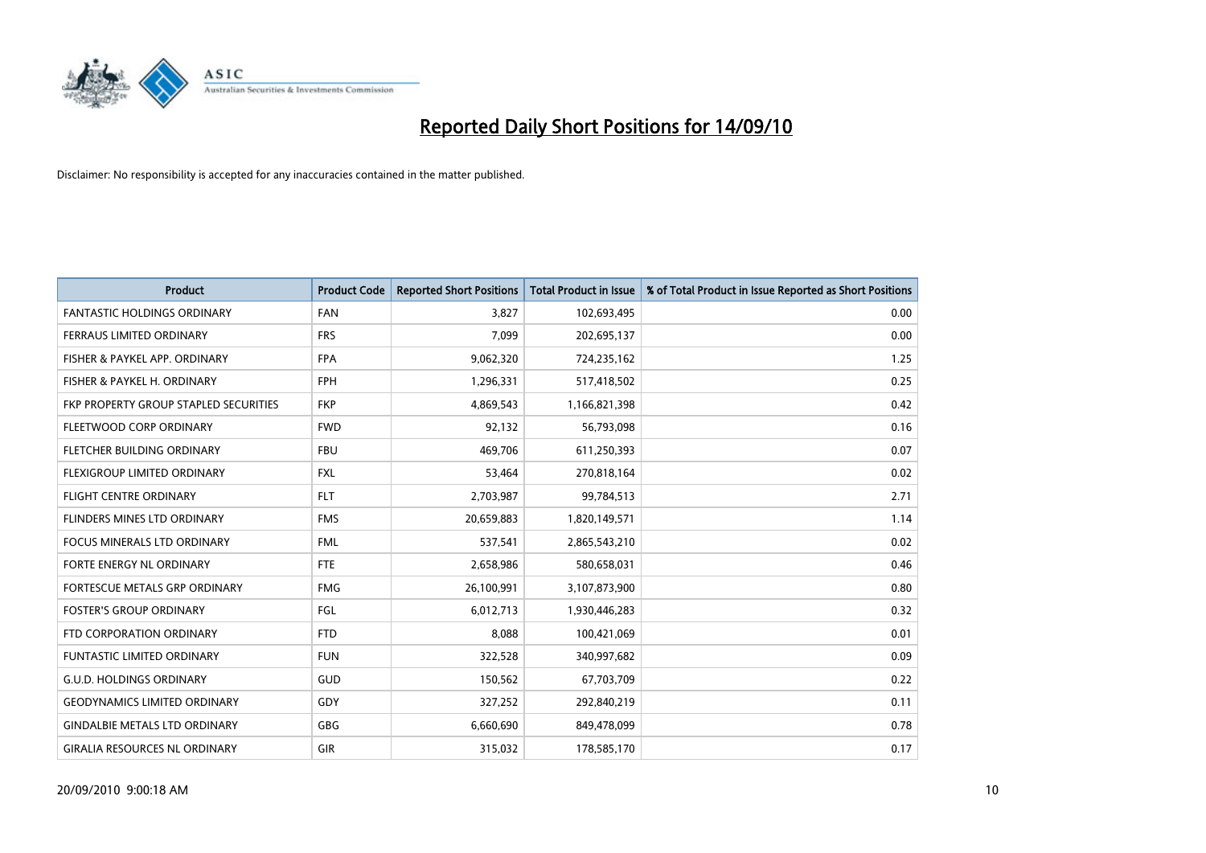

| <b>Product</b>                        | <b>Product Code</b> | <b>Reported Short Positions</b> | <b>Total Product in Issue</b> | % of Total Product in Issue Reported as Short Positions |
|---------------------------------------|---------------------|---------------------------------|-------------------------------|---------------------------------------------------------|
| <b>FANTASTIC HOLDINGS ORDINARY</b>    | <b>FAN</b>          | 3,827                           | 102,693,495                   | 0.00                                                    |
| FERRAUS LIMITED ORDINARY              | <b>FRS</b>          | 7,099                           | 202,695,137                   | 0.00                                                    |
| FISHER & PAYKEL APP. ORDINARY         | <b>FPA</b>          | 9,062,320                       | 724,235,162                   | 1.25                                                    |
| FISHER & PAYKEL H. ORDINARY           | <b>FPH</b>          | 1,296,331                       | 517,418,502                   | 0.25                                                    |
| FKP PROPERTY GROUP STAPLED SECURITIES | <b>FKP</b>          | 4,869,543                       | 1,166,821,398                 | 0.42                                                    |
| FLEETWOOD CORP ORDINARY               | <b>FWD</b>          | 92,132                          | 56,793,098                    | 0.16                                                    |
| <b>FLETCHER BUILDING ORDINARY</b>     | <b>FBU</b>          | 469,706                         | 611,250,393                   | 0.07                                                    |
| FLEXIGROUP LIMITED ORDINARY           | <b>FXL</b>          | 53,464                          | 270,818,164                   | 0.02                                                    |
| <b>FLIGHT CENTRE ORDINARY</b>         | <b>FLT</b>          | 2,703,987                       | 99,784,513                    | 2.71                                                    |
| <b>FLINDERS MINES LTD ORDINARY</b>    | <b>FMS</b>          | 20,659,883                      | 1,820,149,571                 | 1.14                                                    |
| FOCUS MINERALS LTD ORDINARY           | <b>FML</b>          | 537,541                         | 2,865,543,210                 | 0.02                                                    |
| FORTE ENERGY NL ORDINARY              | <b>FTE</b>          | 2,658,986                       | 580,658,031                   | 0.46                                                    |
| FORTESCUE METALS GRP ORDINARY         | <b>FMG</b>          | 26,100,991                      | 3,107,873,900                 | 0.80                                                    |
| <b>FOSTER'S GROUP ORDINARY</b>        | FGL                 | 6,012,713                       | 1,930,446,283                 | 0.32                                                    |
| FTD CORPORATION ORDINARY              | <b>FTD</b>          | 8,088                           | 100,421,069                   | 0.01                                                    |
| <b>FUNTASTIC LIMITED ORDINARY</b>     | <b>FUN</b>          | 322,528                         | 340,997,682                   | 0.09                                                    |
| <b>G.U.D. HOLDINGS ORDINARY</b>       | GUD                 | 150,562                         | 67,703,709                    | 0.22                                                    |
| <b>GEODYNAMICS LIMITED ORDINARY</b>   | GDY                 | 327,252                         | 292,840,219                   | 0.11                                                    |
| <b>GINDALBIE METALS LTD ORDINARY</b>  | <b>GBG</b>          | 6,660,690                       | 849,478,099                   | 0.78                                                    |
| <b>GIRALIA RESOURCES NL ORDINARY</b>  | GIR                 | 315,032                         | 178,585,170                   | 0.17                                                    |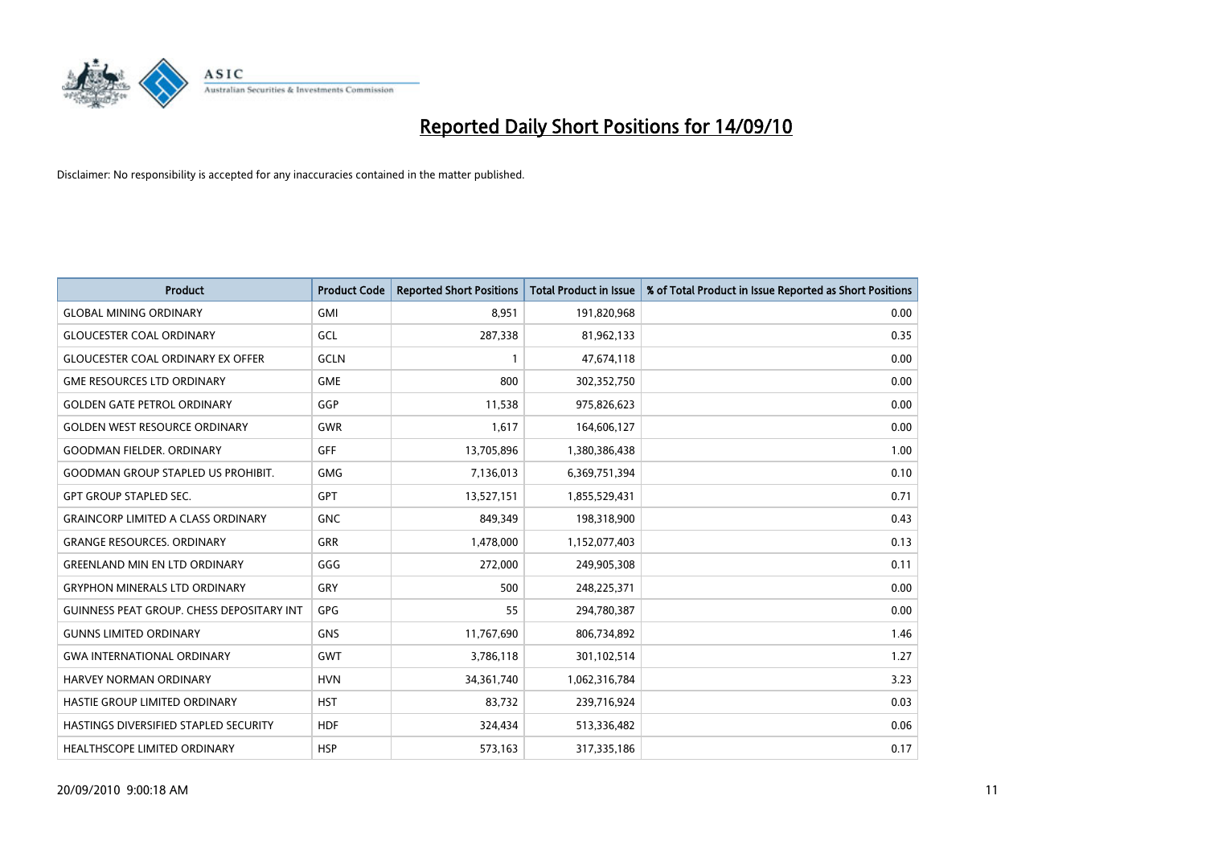

| <b>Product</b>                            | <b>Product Code</b> | <b>Reported Short Positions</b> | Total Product in Issue | % of Total Product in Issue Reported as Short Positions |
|-------------------------------------------|---------------------|---------------------------------|------------------------|---------------------------------------------------------|
| <b>GLOBAL MINING ORDINARY</b>             | <b>GMI</b>          | 8,951                           | 191,820,968            | 0.00                                                    |
| <b>GLOUCESTER COAL ORDINARY</b>           | <b>GCL</b>          | 287,338                         | 81,962,133             | 0.35                                                    |
| <b>GLOUCESTER COAL ORDINARY EX OFFER</b>  | <b>GCLN</b>         |                                 | 47,674,118             | 0.00                                                    |
| <b>GME RESOURCES LTD ORDINARY</b>         | <b>GME</b>          | 800                             | 302,352,750            | 0.00                                                    |
| <b>GOLDEN GATE PETROL ORDINARY</b>        | GGP                 | 11,538                          | 975,826,623            | 0.00                                                    |
| <b>GOLDEN WEST RESOURCE ORDINARY</b>      | <b>GWR</b>          | 1,617                           | 164,606,127            | 0.00                                                    |
| <b>GOODMAN FIELDER, ORDINARY</b>          | <b>GFF</b>          | 13,705,896                      | 1,380,386,438          | 1.00                                                    |
| <b>GOODMAN GROUP STAPLED US PROHIBIT.</b> | <b>GMG</b>          | 7,136,013                       | 6,369,751,394          | 0.10                                                    |
| <b>GPT GROUP STAPLED SEC.</b>             | <b>GPT</b>          | 13,527,151                      | 1,855,529,431          | 0.71                                                    |
| <b>GRAINCORP LIMITED A CLASS ORDINARY</b> | <b>GNC</b>          | 849,349                         | 198,318,900            | 0.43                                                    |
| <b>GRANGE RESOURCES. ORDINARY</b>         | <b>GRR</b>          | 1,478,000                       | 1,152,077,403          | 0.13                                                    |
| <b>GREENLAND MIN EN LTD ORDINARY</b>      | GGG                 | 272,000                         | 249,905,308            | 0.11                                                    |
| <b>GRYPHON MINERALS LTD ORDINARY</b>      | GRY                 | 500                             | 248,225,371            | 0.00                                                    |
| GUINNESS PEAT GROUP. CHESS DEPOSITARY INT | GPG                 | 55                              | 294,780,387            | 0.00                                                    |
| <b>GUNNS LIMITED ORDINARY</b>             | <b>GNS</b>          | 11,767,690                      | 806,734,892            | 1.46                                                    |
| <b>GWA INTERNATIONAL ORDINARY</b>         | <b>GWT</b>          | 3,786,118                       | 301,102,514            | 1.27                                                    |
| HARVEY NORMAN ORDINARY                    | <b>HVN</b>          | 34, 361, 740                    | 1,062,316,784          | 3.23                                                    |
| HASTIE GROUP LIMITED ORDINARY             | <b>HST</b>          | 83,732                          | 239,716,924            | 0.03                                                    |
| HASTINGS DIVERSIFIED STAPLED SECURITY     | <b>HDF</b>          | 324,434                         | 513,336,482            | 0.06                                                    |
| HEALTHSCOPE LIMITED ORDINARY              | <b>HSP</b>          | 573,163                         | 317,335,186            | 0.17                                                    |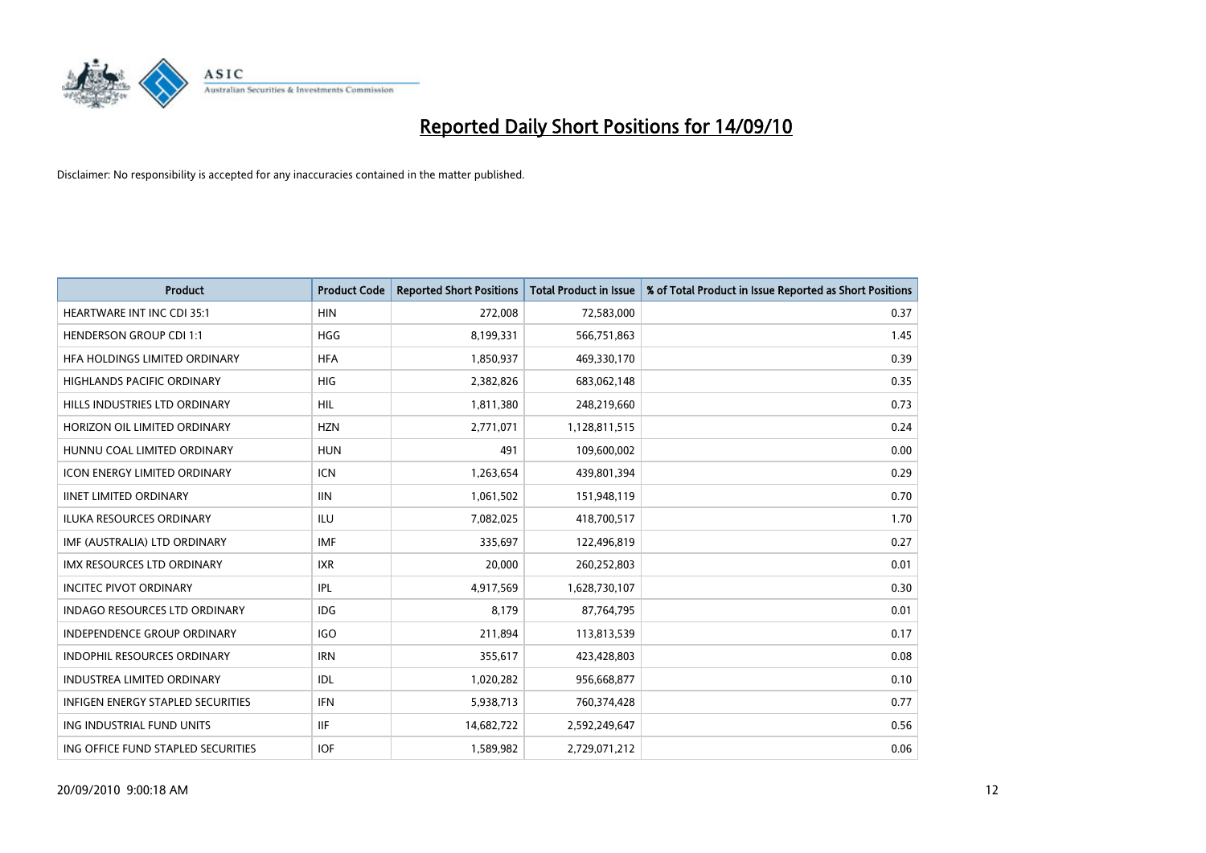

| <b>Product</b>                       | <b>Product Code</b> | <b>Reported Short Positions</b> | <b>Total Product in Issue</b> | % of Total Product in Issue Reported as Short Positions |
|--------------------------------------|---------------------|---------------------------------|-------------------------------|---------------------------------------------------------|
| <b>HEARTWARE INT INC CDI 35:1</b>    | <b>HIN</b>          | 272,008                         | 72,583,000                    | 0.37                                                    |
| <b>HENDERSON GROUP CDI 1:1</b>       | <b>HGG</b>          | 8,199,331                       | 566,751,863                   | 1.45                                                    |
| HFA HOLDINGS LIMITED ORDINARY        | <b>HFA</b>          | 1,850,937                       | 469,330,170                   | 0.39                                                    |
| HIGHLANDS PACIFIC ORDINARY           | HIG                 | 2,382,826                       | 683,062,148                   | 0.35                                                    |
| HILLS INDUSTRIES LTD ORDINARY        | <b>HIL</b>          | 1,811,380                       | 248,219,660                   | 0.73                                                    |
| HORIZON OIL LIMITED ORDINARY         | <b>HZN</b>          | 2,771,071                       | 1,128,811,515                 | 0.24                                                    |
| HUNNU COAL LIMITED ORDINARY          | <b>HUN</b>          | 491                             | 109,600,002                   | 0.00                                                    |
| <b>ICON ENERGY LIMITED ORDINARY</b>  | <b>ICN</b>          | 1,263,654                       | 439,801,394                   | 0.29                                                    |
| <b>IINET LIMITED ORDINARY</b>        | <b>IIN</b>          | 1,061,502                       | 151,948,119                   | 0.70                                                    |
| <b>ILUKA RESOURCES ORDINARY</b>      | <b>ILU</b>          | 7,082,025                       | 418,700,517                   | 1.70                                                    |
| IMF (AUSTRALIA) LTD ORDINARY         | <b>IMF</b>          | 335,697                         | 122,496,819                   | 0.27                                                    |
| <b>IMX RESOURCES LTD ORDINARY</b>    | <b>IXR</b>          | 20,000                          | 260,252,803                   | 0.01                                                    |
| <b>INCITEC PIVOT ORDINARY</b>        | <b>IPL</b>          | 4,917,569                       | 1,628,730,107                 | 0.30                                                    |
| <b>INDAGO RESOURCES LTD ORDINARY</b> | IDG                 | 8.179                           | 87,764,795                    | 0.01                                                    |
| <b>INDEPENDENCE GROUP ORDINARY</b>   | <b>IGO</b>          | 211,894                         | 113,813,539                   | 0.17                                                    |
| <b>INDOPHIL RESOURCES ORDINARY</b>   | <b>IRN</b>          | 355,617                         | 423,428,803                   | 0.08                                                    |
| <b>INDUSTREA LIMITED ORDINARY</b>    | IDL                 | 1,020,282                       | 956,668,877                   | 0.10                                                    |
| INFIGEN ENERGY STAPLED SECURITIES    | <b>IFN</b>          | 5,938,713                       | 760,374,428                   | 0.77                                                    |
| ING INDUSTRIAL FUND UNITS            | <b>IIF</b>          | 14,682,722                      | 2,592,249,647                 | 0.56                                                    |
| ING OFFICE FUND STAPLED SECURITIES   | <b>IOF</b>          | 1,589,982                       | 2,729,071,212                 | 0.06                                                    |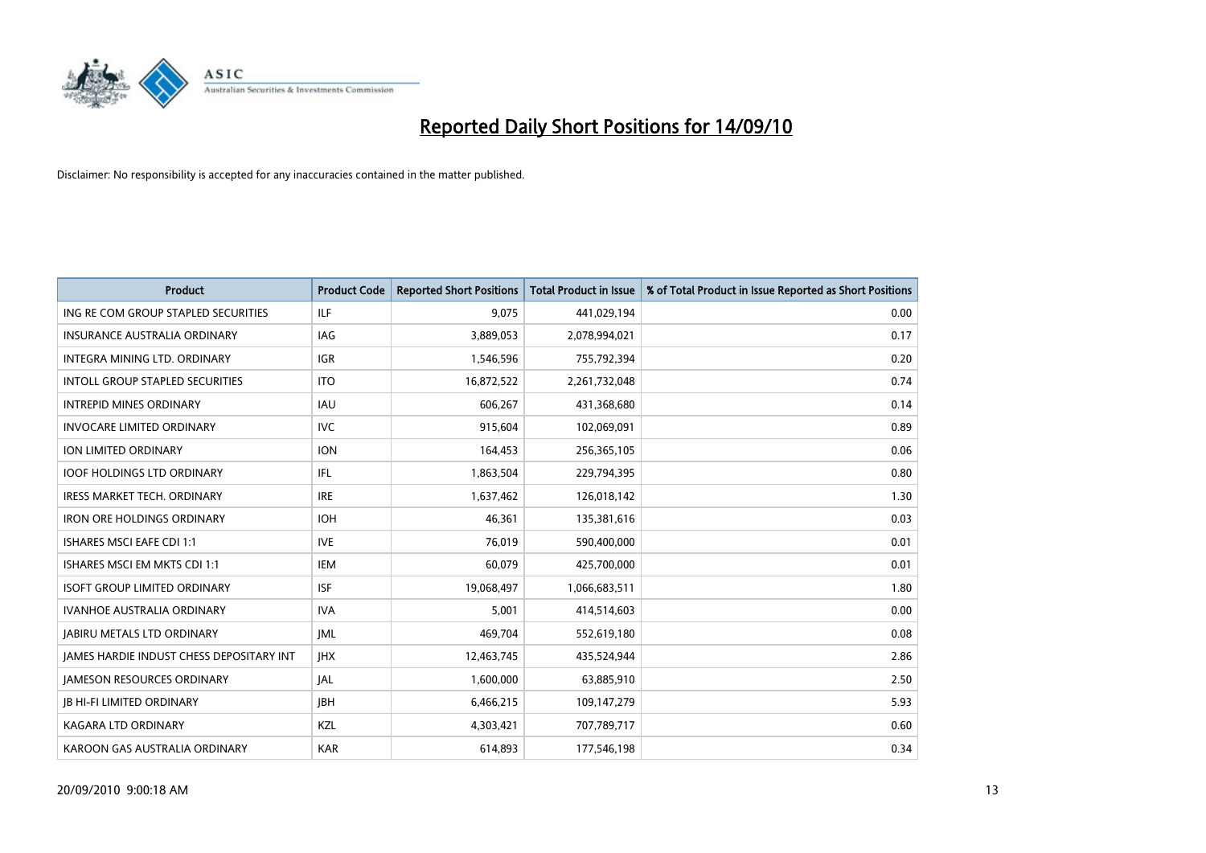

| <b>Product</b>                                  | <b>Product Code</b> | <b>Reported Short Positions</b> | <b>Total Product in Issue</b> | % of Total Product in Issue Reported as Short Positions |
|-------------------------------------------------|---------------------|---------------------------------|-------------------------------|---------------------------------------------------------|
| ING RE COM GROUP STAPLED SECURITIES             | <b>ILF</b>          | 9,075                           | 441,029,194                   | 0.00                                                    |
| INSURANCE AUSTRALIA ORDINARY                    | IAG                 | 3,889,053                       | 2,078,994,021                 | 0.17                                                    |
| INTEGRA MINING LTD, ORDINARY                    | <b>IGR</b>          | 1,546,596                       | 755,792,394                   | 0.20                                                    |
| INTOLL GROUP STAPLED SECURITIES                 | <b>ITO</b>          | 16,872,522                      | 2,261,732,048                 | 0.74                                                    |
| <b>INTREPID MINES ORDINARY</b>                  | <b>IAU</b>          | 606,267                         | 431,368,680                   | 0.14                                                    |
| <b>INVOCARE LIMITED ORDINARY</b>                | <b>IVC</b>          | 915,604                         | 102,069,091                   | 0.89                                                    |
| ION LIMITED ORDINARY                            | <b>ION</b>          | 164,453                         | 256,365,105                   | 0.06                                                    |
| <b>IOOF HOLDINGS LTD ORDINARY</b>               | <b>IFL</b>          | 1,863,504                       | 229,794,395                   | 0.80                                                    |
| IRESS MARKET TECH. ORDINARY                     | <b>IRE</b>          | 1,637,462                       | 126,018,142                   | 1.30                                                    |
| <b>IRON ORE HOLDINGS ORDINARY</b>               | <b>IOH</b>          | 46.361                          | 135,381,616                   | 0.03                                                    |
| ISHARES MSCI EAFE CDI 1:1                       | <b>IVE</b>          | 76,019                          | 590,400,000                   | 0.01                                                    |
| ISHARES MSCI EM MKTS CDI 1:1                    | <b>IEM</b>          | 60,079                          | 425,700,000                   | 0.01                                                    |
| <b>ISOFT GROUP LIMITED ORDINARY</b>             | <b>ISF</b>          | 19,068,497                      | 1,066,683,511                 | 1.80                                                    |
| <b>IVANHOE AUSTRALIA ORDINARY</b>               | <b>IVA</b>          | 5,001                           | 414,514,603                   | 0.00                                                    |
| <b>JABIRU METALS LTD ORDINARY</b>               | <b>JML</b>          | 469,704                         | 552,619,180                   | 0.08                                                    |
| <b>JAMES HARDIE INDUST CHESS DEPOSITARY INT</b> | <b>IHX</b>          | 12,463,745                      | 435,524,944                   | 2.86                                                    |
| <b>JAMESON RESOURCES ORDINARY</b>               | <b>JAL</b>          | 1,600,000                       | 63,885,910                    | 2.50                                                    |
| <b>JB HI-FI LIMITED ORDINARY</b>                | <b>IBH</b>          | 6,466,215                       | 109,147,279                   | 5.93                                                    |
| <b>KAGARA LTD ORDINARY</b>                      | KZL                 | 4,303,421                       | 707,789,717                   | 0.60                                                    |
| KAROON GAS AUSTRALIA ORDINARY                   | <b>KAR</b>          | 614,893                         | 177,546,198                   | 0.34                                                    |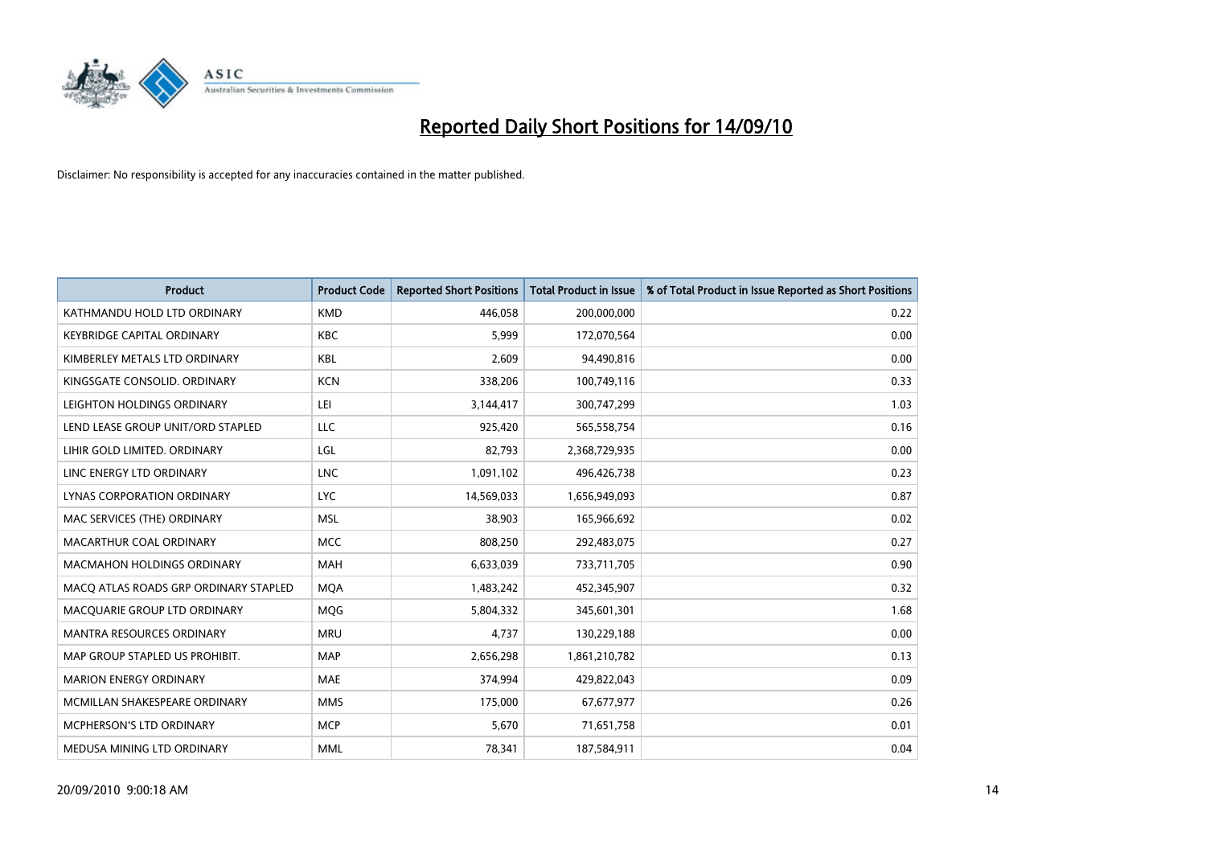

| <b>Product</b>                        | <b>Product Code</b> | <b>Reported Short Positions</b> | <b>Total Product in Issue</b> | % of Total Product in Issue Reported as Short Positions |
|---------------------------------------|---------------------|---------------------------------|-------------------------------|---------------------------------------------------------|
| KATHMANDU HOLD LTD ORDINARY           | <b>KMD</b>          | 446.058                         | 200,000,000                   | 0.22                                                    |
| <b>KEYBRIDGE CAPITAL ORDINARY</b>     | <b>KBC</b>          | 5,999                           | 172,070,564                   | 0.00                                                    |
| KIMBERLEY METALS LTD ORDINARY         | <b>KBL</b>          | 2.609                           | 94,490,816                    | 0.00                                                    |
| KINGSGATE CONSOLID. ORDINARY          | <b>KCN</b>          | 338,206                         | 100,749,116                   | 0.33                                                    |
| LEIGHTON HOLDINGS ORDINARY            | LEI                 | 3,144,417                       | 300,747,299                   | 1.03                                                    |
| LEND LEASE GROUP UNIT/ORD STAPLED     | LLC                 | 925,420                         | 565,558,754                   | 0.16                                                    |
| LIHIR GOLD LIMITED. ORDINARY          | LGL                 | 82,793                          | 2,368,729,935                 | 0.00                                                    |
| LINC ENERGY LTD ORDINARY              | <b>LNC</b>          | 1,091,102                       | 496,426,738                   | 0.23                                                    |
| LYNAS CORPORATION ORDINARY            | <b>LYC</b>          | 14,569,033                      | 1,656,949,093                 | 0.87                                                    |
| MAC SERVICES (THE) ORDINARY           | <b>MSL</b>          | 38,903                          | 165,966,692                   | 0.02                                                    |
| MACARTHUR COAL ORDINARY               | <b>MCC</b>          | 808,250                         | 292,483,075                   | 0.27                                                    |
| <b>MACMAHON HOLDINGS ORDINARY</b>     | <b>MAH</b>          | 6,633,039                       | 733,711,705                   | 0.90                                                    |
| MACQ ATLAS ROADS GRP ORDINARY STAPLED | <b>MOA</b>          | 1,483,242                       | 452,345,907                   | 0.32                                                    |
| MACQUARIE GROUP LTD ORDINARY          | <b>MOG</b>          | 5,804,332                       | 345,601,301                   | 1.68                                                    |
| <b>MANTRA RESOURCES ORDINARY</b>      | <b>MRU</b>          | 4,737                           | 130,229,188                   | 0.00                                                    |
| MAP GROUP STAPLED US PROHIBIT.        | <b>MAP</b>          | 2,656,298                       | 1,861,210,782                 | 0.13                                                    |
| <b>MARION ENERGY ORDINARY</b>         | <b>MAE</b>          | 374,994                         | 429,822,043                   | 0.09                                                    |
| MCMILLAN SHAKESPEARE ORDINARY         | <b>MMS</b>          | 175,000                         | 67,677,977                    | 0.26                                                    |
| MCPHERSON'S LTD ORDINARY              | <b>MCP</b>          | 5,670                           | 71,651,758                    | 0.01                                                    |
| MEDUSA MINING LTD ORDINARY            | <b>MML</b>          | 78,341                          | 187,584,911                   | 0.04                                                    |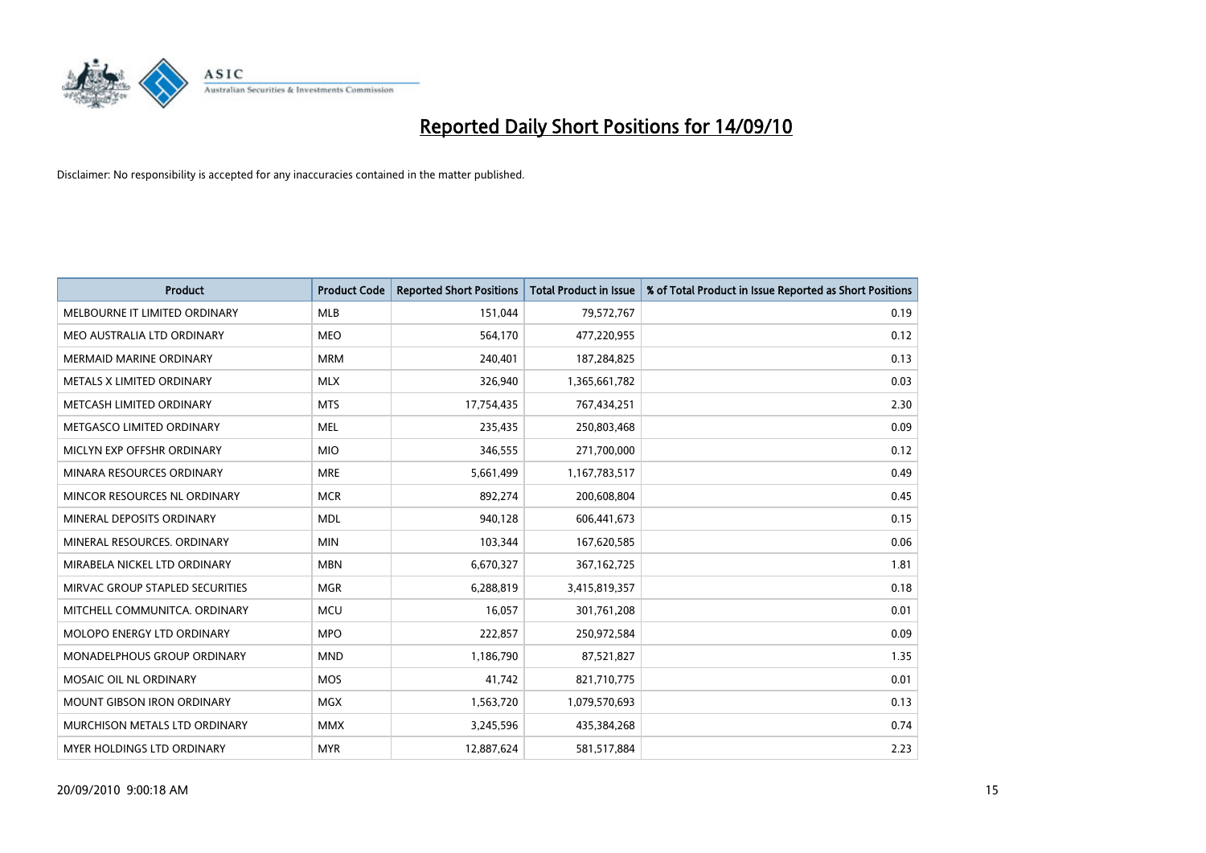

| <b>Product</b>                    | <b>Product Code</b> | <b>Reported Short Positions</b> | <b>Total Product in Issue</b> | % of Total Product in Issue Reported as Short Positions |
|-----------------------------------|---------------------|---------------------------------|-------------------------------|---------------------------------------------------------|
| MELBOURNE IT LIMITED ORDINARY     | <b>MLB</b>          | 151,044                         | 79,572,767                    | 0.19                                                    |
| MEO AUSTRALIA LTD ORDINARY        | <b>MEO</b>          | 564,170                         | 477,220,955                   | 0.12                                                    |
| <b>MERMAID MARINE ORDINARY</b>    | <b>MRM</b>          | 240,401                         | 187,284,825                   | 0.13                                                    |
| METALS X LIMITED ORDINARY         | <b>MLX</b>          | 326,940                         | 1,365,661,782                 | 0.03                                                    |
| METCASH LIMITED ORDINARY          | <b>MTS</b>          | 17,754,435                      | 767,434,251                   | 2.30                                                    |
| METGASCO LIMITED ORDINARY         | <b>MEL</b>          | 235,435                         | 250,803,468                   | 0.09                                                    |
| MICLYN EXP OFFSHR ORDINARY        | <b>MIO</b>          | 346,555                         | 271,700,000                   | 0.12                                                    |
| MINARA RESOURCES ORDINARY         | <b>MRE</b>          | 5,661,499                       | 1,167,783,517                 | 0.49                                                    |
| MINCOR RESOURCES NL ORDINARY      | <b>MCR</b>          | 892,274                         | 200,608,804                   | 0.45                                                    |
| MINERAL DEPOSITS ORDINARY         | <b>MDL</b>          | 940,128                         | 606,441,673                   | 0.15                                                    |
| MINERAL RESOURCES, ORDINARY       | <b>MIN</b>          | 103,344                         | 167,620,585                   | 0.06                                                    |
| MIRABELA NICKEL LTD ORDINARY      | <b>MBN</b>          | 6,670,327                       | 367,162,725                   | 1.81                                                    |
| MIRVAC GROUP STAPLED SECURITIES   | <b>MGR</b>          | 6,288,819                       | 3,415,819,357                 | 0.18                                                    |
| MITCHELL COMMUNITCA, ORDINARY     | <b>MCU</b>          | 16,057                          | 301,761,208                   | 0.01                                                    |
| MOLOPO ENERGY LTD ORDINARY        | <b>MPO</b>          | 222,857                         | 250,972,584                   | 0.09                                                    |
| MONADELPHOUS GROUP ORDINARY       | <b>MND</b>          | 1,186,790                       | 87,521,827                    | 1.35                                                    |
| MOSAIC OIL NL ORDINARY            | <b>MOS</b>          | 41,742                          | 821,710,775                   | 0.01                                                    |
| <b>MOUNT GIBSON IRON ORDINARY</b> | <b>MGX</b>          | 1,563,720                       | 1,079,570,693                 | 0.13                                                    |
| MURCHISON METALS LTD ORDINARY     | <b>MMX</b>          | 3,245,596                       | 435,384,268                   | 0.74                                                    |
| MYER HOLDINGS LTD ORDINARY        | <b>MYR</b>          | 12,887,624                      | 581,517,884                   | 2.23                                                    |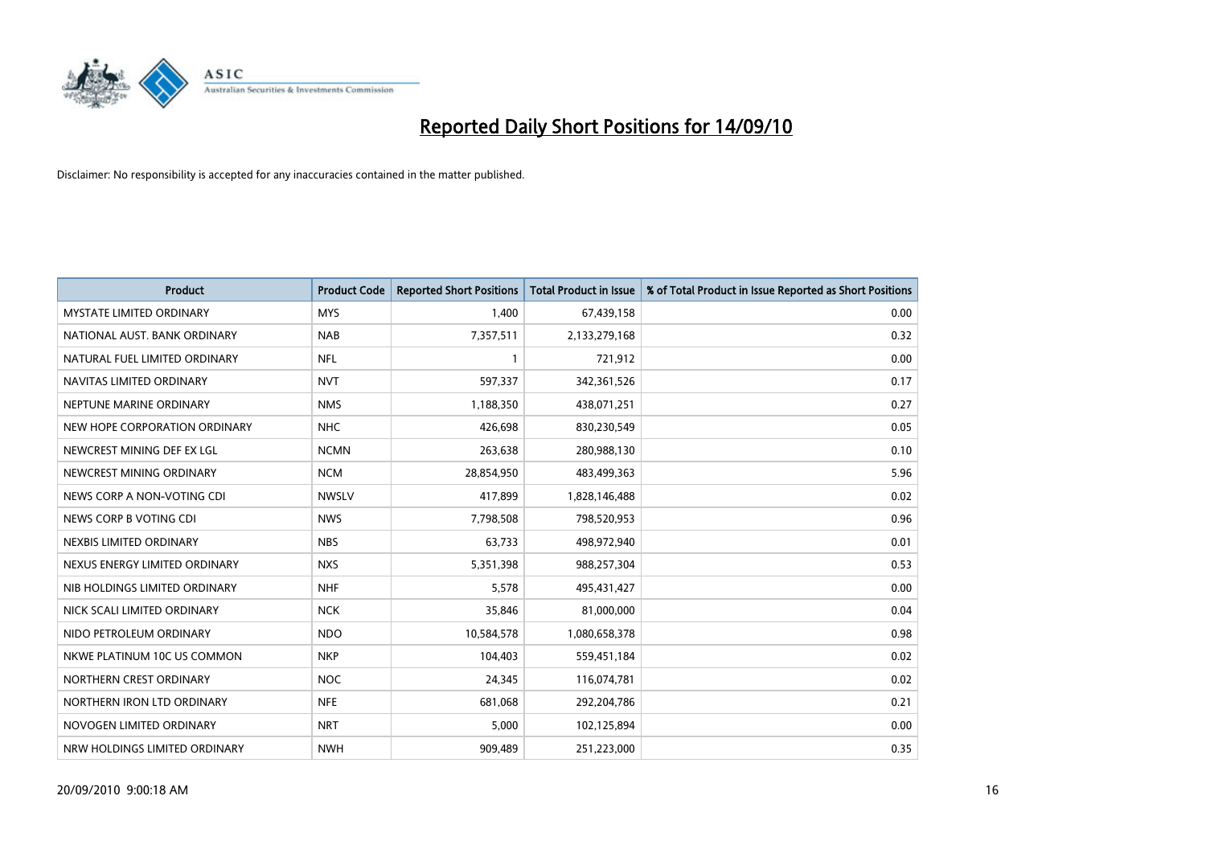

| <b>Product</b>                  | <b>Product Code</b> | <b>Reported Short Positions</b> | <b>Total Product in Issue</b> | % of Total Product in Issue Reported as Short Positions |
|---------------------------------|---------------------|---------------------------------|-------------------------------|---------------------------------------------------------|
| <b>MYSTATE LIMITED ORDINARY</b> | <b>MYS</b>          | 1,400                           | 67,439,158                    | 0.00                                                    |
| NATIONAL AUST. BANK ORDINARY    | <b>NAB</b>          | 7,357,511                       | 2,133,279,168                 | 0.32                                                    |
| NATURAL FUEL LIMITED ORDINARY   | <b>NFL</b>          |                                 | 721,912                       | 0.00                                                    |
| NAVITAS LIMITED ORDINARY        | <b>NVT</b>          | 597,337                         | 342,361,526                   | 0.17                                                    |
| NEPTUNE MARINE ORDINARY         | <b>NMS</b>          | 1,188,350                       | 438,071,251                   | 0.27                                                    |
| NEW HOPE CORPORATION ORDINARY   | <b>NHC</b>          | 426,698                         | 830,230,549                   | 0.05                                                    |
| NEWCREST MINING DEF EX LGL      | <b>NCMN</b>         | 263,638                         | 280,988,130                   | 0.10                                                    |
| NEWCREST MINING ORDINARY        | <b>NCM</b>          | 28,854,950                      | 483,499,363                   | 5.96                                                    |
| NEWS CORP A NON-VOTING CDI      | <b>NWSLV</b>        | 417,899                         | 1,828,146,488                 | 0.02                                                    |
| NEWS CORP B VOTING CDI          | <b>NWS</b>          | 7,798,508                       | 798,520,953                   | 0.96                                                    |
| NEXBIS LIMITED ORDINARY         | <b>NBS</b>          | 63,733                          | 498,972,940                   | 0.01                                                    |
| NEXUS ENERGY LIMITED ORDINARY   | <b>NXS</b>          | 5,351,398                       | 988,257,304                   | 0.53                                                    |
| NIB HOLDINGS LIMITED ORDINARY   | <b>NHF</b>          | 5,578                           | 495,431,427                   | 0.00                                                    |
| NICK SCALI LIMITED ORDINARY     | <b>NCK</b>          | 35,846                          | 81,000,000                    | 0.04                                                    |
| NIDO PETROLEUM ORDINARY         | <b>NDO</b>          | 10,584,578                      | 1,080,658,378                 | 0.98                                                    |
| NKWE PLATINUM 10C US COMMON     | <b>NKP</b>          | 104,403                         | 559,451,184                   | 0.02                                                    |
| NORTHERN CREST ORDINARY         | <b>NOC</b>          | 24,345                          | 116,074,781                   | 0.02                                                    |
| NORTHERN IRON LTD ORDINARY      | <b>NFE</b>          | 681,068                         | 292,204,786                   | 0.21                                                    |
| NOVOGEN LIMITED ORDINARY        | <b>NRT</b>          | 5,000                           | 102,125,894                   | 0.00                                                    |
| NRW HOLDINGS LIMITED ORDINARY   | <b>NWH</b>          | 909,489                         | 251,223,000                   | 0.35                                                    |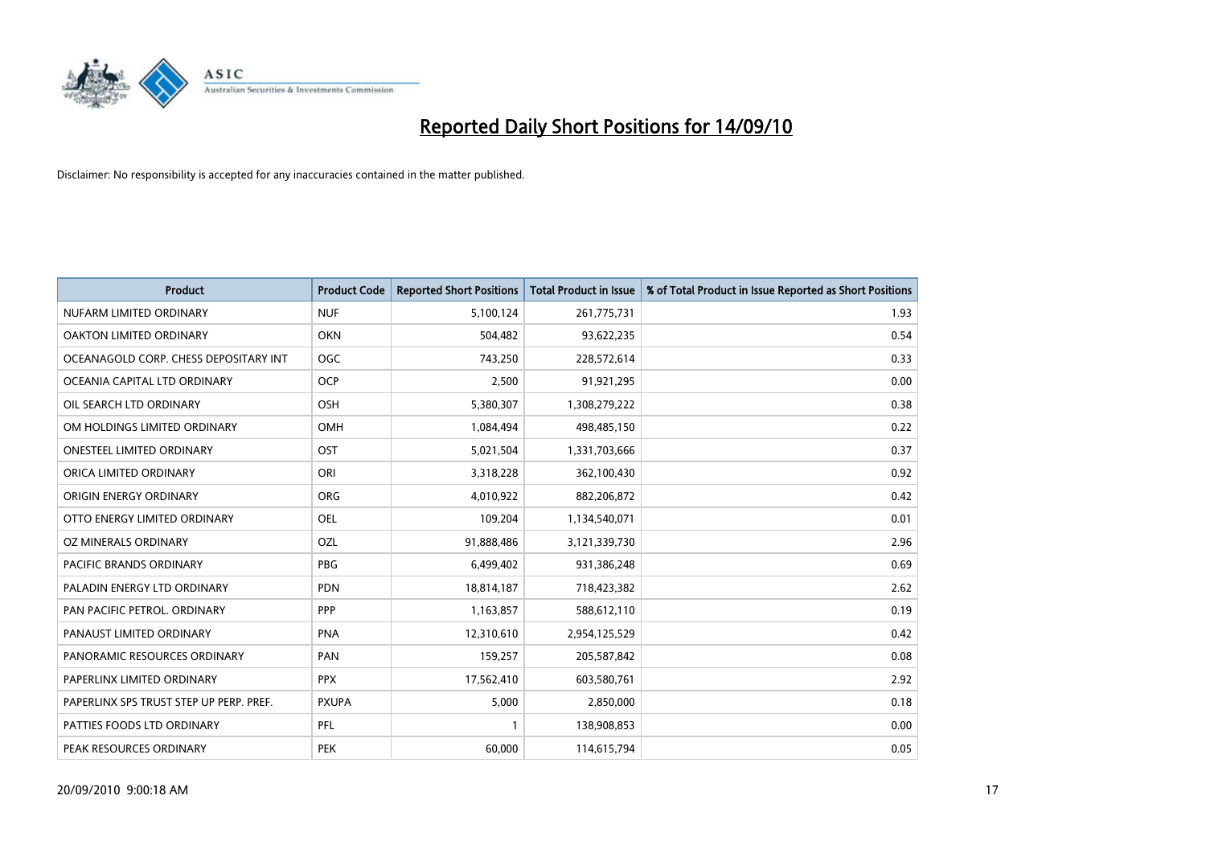

| <b>Product</b>                          | <b>Product Code</b> | <b>Reported Short Positions</b> | Total Product in Issue | % of Total Product in Issue Reported as Short Positions |
|-----------------------------------------|---------------------|---------------------------------|------------------------|---------------------------------------------------------|
| NUFARM LIMITED ORDINARY                 | <b>NUF</b>          | 5,100,124                       | 261,775,731            | 1.93                                                    |
| OAKTON LIMITED ORDINARY                 | <b>OKN</b>          | 504,482                         | 93,622,235             | 0.54                                                    |
| OCEANAGOLD CORP. CHESS DEPOSITARY INT   | <b>OGC</b>          | 743,250                         | 228,572,614            | 0.33                                                    |
| OCEANIA CAPITAL LTD ORDINARY            | <b>OCP</b>          | 2,500                           | 91,921,295             | 0.00                                                    |
| OIL SEARCH LTD ORDINARY                 | OSH                 | 5,380,307                       | 1,308,279,222          | 0.38                                                    |
| OM HOLDINGS LIMITED ORDINARY            | OMH                 | 1,084,494                       | 498,485,150            | 0.22                                                    |
| ONESTEEL LIMITED ORDINARY               | OST                 | 5,021,504                       | 1,331,703,666          | 0.37                                                    |
| ORICA LIMITED ORDINARY                  | ORI                 | 3,318,228                       | 362,100,430            | 0.92                                                    |
| ORIGIN ENERGY ORDINARY                  | <b>ORG</b>          | 4,010,922                       | 882,206,872            | 0.42                                                    |
| OTTO ENERGY LIMITED ORDINARY            | OEL                 | 109,204                         | 1,134,540,071          | 0.01                                                    |
| OZ MINERALS ORDINARY                    | OZL                 | 91,888,486                      | 3,121,339,730          | 2.96                                                    |
| PACIFIC BRANDS ORDINARY                 | <b>PBG</b>          | 6,499,402                       | 931,386,248            | 0.69                                                    |
| PALADIN ENERGY LTD ORDINARY             | <b>PDN</b>          | 18,814,187                      | 718,423,382            | 2.62                                                    |
| PAN PACIFIC PETROL. ORDINARY            | PPP                 | 1,163,857                       | 588,612,110            | 0.19                                                    |
| PANAUST LIMITED ORDINARY                | <b>PNA</b>          | 12,310,610                      | 2,954,125,529          | 0.42                                                    |
| PANORAMIC RESOURCES ORDINARY            | PAN                 | 159,257                         | 205,587,842            | 0.08                                                    |
| PAPERLINX LIMITED ORDINARY              | <b>PPX</b>          | 17,562,410                      | 603,580,761            | 2.92                                                    |
| PAPERLINX SPS TRUST STEP UP PERP. PREF. | <b>PXUPA</b>        | 5,000                           | 2,850,000              | 0.18                                                    |
| PATTIES FOODS LTD ORDINARY              | PFL                 |                                 | 138,908,853            | 0.00                                                    |
| PEAK RESOURCES ORDINARY                 | <b>PEK</b>          | 60,000                          | 114,615,794            | 0.05                                                    |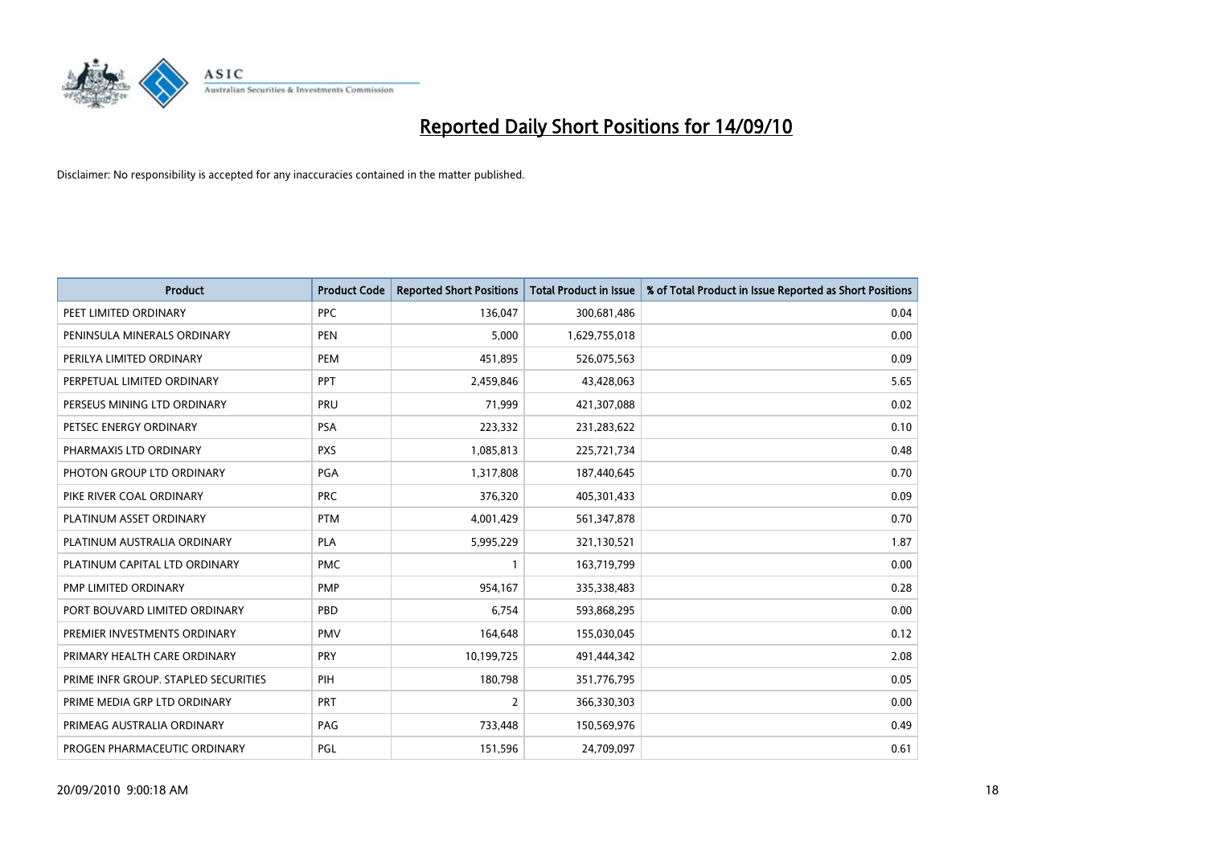

| <b>Product</b>                       | <b>Product Code</b> | <b>Reported Short Positions</b> | Total Product in Issue | % of Total Product in Issue Reported as Short Positions |
|--------------------------------------|---------------------|---------------------------------|------------------------|---------------------------------------------------------|
| PEET LIMITED ORDINARY                | <b>PPC</b>          | 136,047                         | 300,681,486            | 0.04                                                    |
| PENINSULA MINERALS ORDINARY          | <b>PEN</b>          | 5,000                           | 1,629,755,018          | 0.00                                                    |
| PERILYA LIMITED ORDINARY             | <b>PEM</b>          | 451,895                         | 526,075,563            | 0.09                                                    |
| PERPETUAL LIMITED ORDINARY           | PPT                 | 2,459,846                       | 43,428,063             | 5.65                                                    |
| PERSEUS MINING LTD ORDINARY          | PRU                 | 71,999                          | 421,307,088            | 0.02                                                    |
| PETSEC ENERGY ORDINARY               | <b>PSA</b>          | 223,332                         | 231,283,622            | 0.10                                                    |
| PHARMAXIS LTD ORDINARY               | <b>PXS</b>          | 1,085,813                       | 225,721,734            | 0.48                                                    |
| PHOTON GROUP LTD ORDINARY            | <b>PGA</b>          | 1,317,808                       | 187,440,645            | 0.70                                                    |
| PIKE RIVER COAL ORDINARY             | <b>PRC</b>          | 376,320                         | 405,301,433            | 0.09                                                    |
| PLATINUM ASSET ORDINARY              | <b>PTM</b>          | 4,001,429                       | 561,347,878            | 0.70                                                    |
| PLATINUM AUSTRALIA ORDINARY          | <b>PLA</b>          | 5,995,229                       | 321,130,521            | 1.87                                                    |
| PLATINUM CAPITAL LTD ORDINARY        | <b>PMC</b>          |                                 | 163,719,799            | 0.00                                                    |
| PMP LIMITED ORDINARY                 | <b>PMP</b>          | 954,167                         | 335,338,483            | 0.28                                                    |
| PORT BOUVARD LIMITED ORDINARY        | PBD                 | 6,754                           | 593,868,295            | 0.00                                                    |
| PREMIER INVESTMENTS ORDINARY         | <b>PMV</b>          | 164,648                         | 155,030,045            | 0.12                                                    |
| PRIMARY HEALTH CARE ORDINARY         | <b>PRY</b>          | 10,199,725                      | 491,444,342            | 2.08                                                    |
| PRIME INFR GROUP. STAPLED SECURITIES | PIH                 | 180,798                         | 351,776,795            | 0.05                                                    |
| PRIME MEDIA GRP LTD ORDINARY         | <b>PRT</b>          | $\overline{2}$                  | 366,330,303            | 0.00                                                    |
| PRIMEAG AUSTRALIA ORDINARY           | PAG                 | 733,448                         | 150,569,976            | 0.49                                                    |
| PROGEN PHARMACEUTIC ORDINARY         | PGL                 | 151,596                         | 24,709,097             | 0.61                                                    |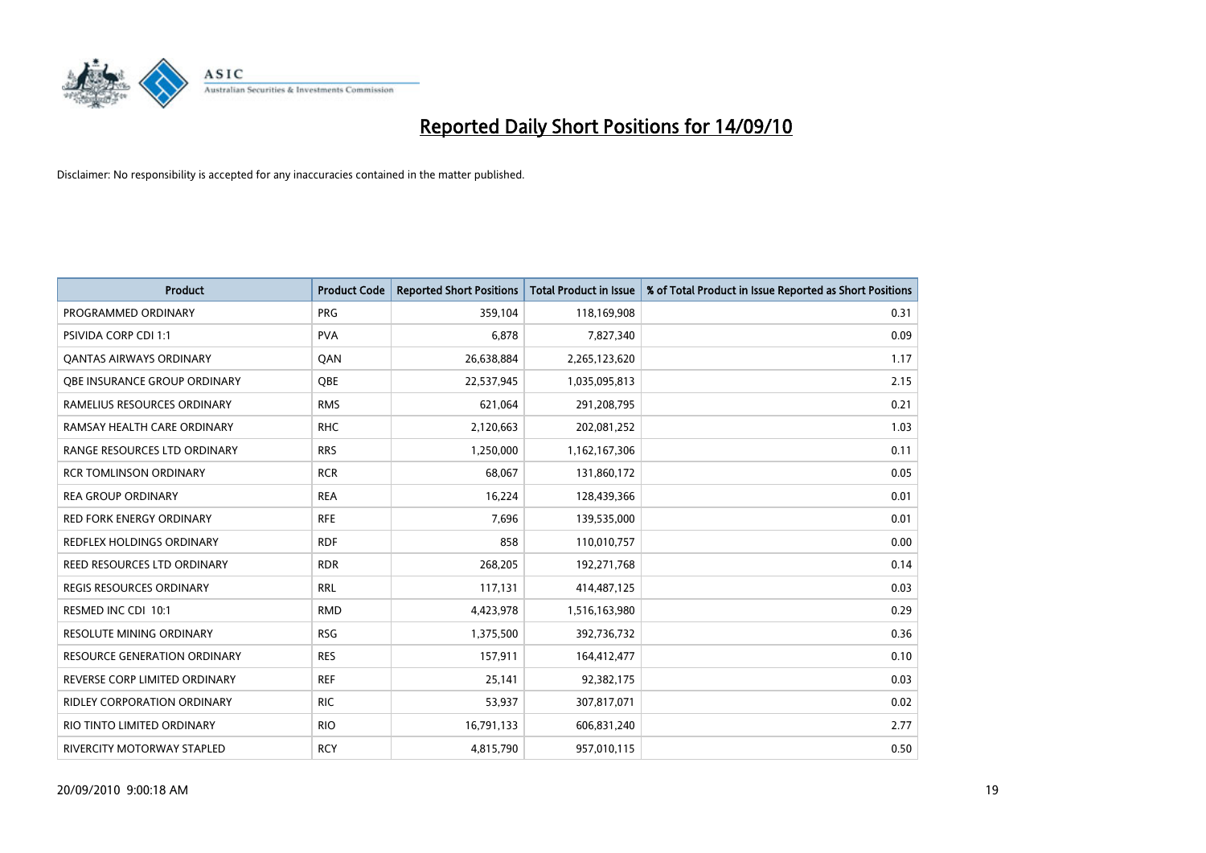

| <b>Product</b>                      | <b>Product Code</b> | <b>Reported Short Positions</b> | Total Product in Issue | % of Total Product in Issue Reported as Short Positions |
|-------------------------------------|---------------------|---------------------------------|------------------------|---------------------------------------------------------|
| PROGRAMMED ORDINARY                 | <b>PRG</b>          | 359,104                         | 118,169,908            | 0.31                                                    |
| PSIVIDA CORP CDI 1:1                | <b>PVA</b>          | 6,878                           | 7,827,340              | 0.09                                                    |
| <b>QANTAS AIRWAYS ORDINARY</b>      | QAN                 | 26,638,884                      | 2,265,123,620          | 1.17                                                    |
| OBE INSURANCE GROUP ORDINARY        | <b>OBE</b>          | 22,537,945                      | 1,035,095,813          | 2.15                                                    |
| RAMELIUS RESOURCES ORDINARY         | <b>RMS</b>          | 621,064                         | 291,208,795            | 0.21                                                    |
| RAMSAY HEALTH CARE ORDINARY         | <b>RHC</b>          | 2,120,663                       | 202,081,252            | 1.03                                                    |
| RANGE RESOURCES LTD ORDINARY        | <b>RRS</b>          | 1,250,000                       | 1,162,167,306          | 0.11                                                    |
| <b>RCR TOMLINSON ORDINARY</b>       | <b>RCR</b>          | 68,067                          | 131,860,172            | 0.05                                                    |
| <b>REA GROUP ORDINARY</b>           | <b>REA</b>          | 16,224                          | 128,439,366            | 0.01                                                    |
| <b>RED FORK ENERGY ORDINARY</b>     | <b>RFE</b>          | 7,696                           | 139,535,000            | 0.01                                                    |
| REDFLEX HOLDINGS ORDINARY           | <b>RDF</b>          | 858                             | 110,010,757            | 0.00                                                    |
| REED RESOURCES LTD ORDINARY         | <b>RDR</b>          | 268,205                         | 192,271,768            | 0.14                                                    |
| REGIS RESOURCES ORDINARY            | <b>RRL</b>          | 117,131                         | 414,487,125            | 0.03                                                    |
| RESMED INC CDI 10:1                 | <b>RMD</b>          | 4,423,978                       | 1,516,163,980          | 0.29                                                    |
| <b>RESOLUTE MINING ORDINARY</b>     | <b>RSG</b>          | 1,375,500                       | 392,736,732            | 0.36                                                    |
| <b>RESOURCE GENERATION ORDINARY</b> | <b>RES</b>          | 157,911                         | 164,412,477            | 0.10                                                    |
| REVERSE CORP LIMITED ORDINARY       | <b>REF</b>          | 25,141                          | 92,382,175             | 0.03                                                    |
| RIDLEY CORPORATION ORDINARY         | <b>RIC</b>          | 53,937                          | 307,817,071            | 0.02                                                    |
| RIO TINTO LIMITED ORDINARY          | <b>RIO</b>          | 16,791,133                      | 606,831,240            | 2.77                                                    |
| RIVERCITY MOTORWAY STAPLED          | <b>RCY</b>          | 4,815,790                       | 957,010,115            | 0.50                                                    |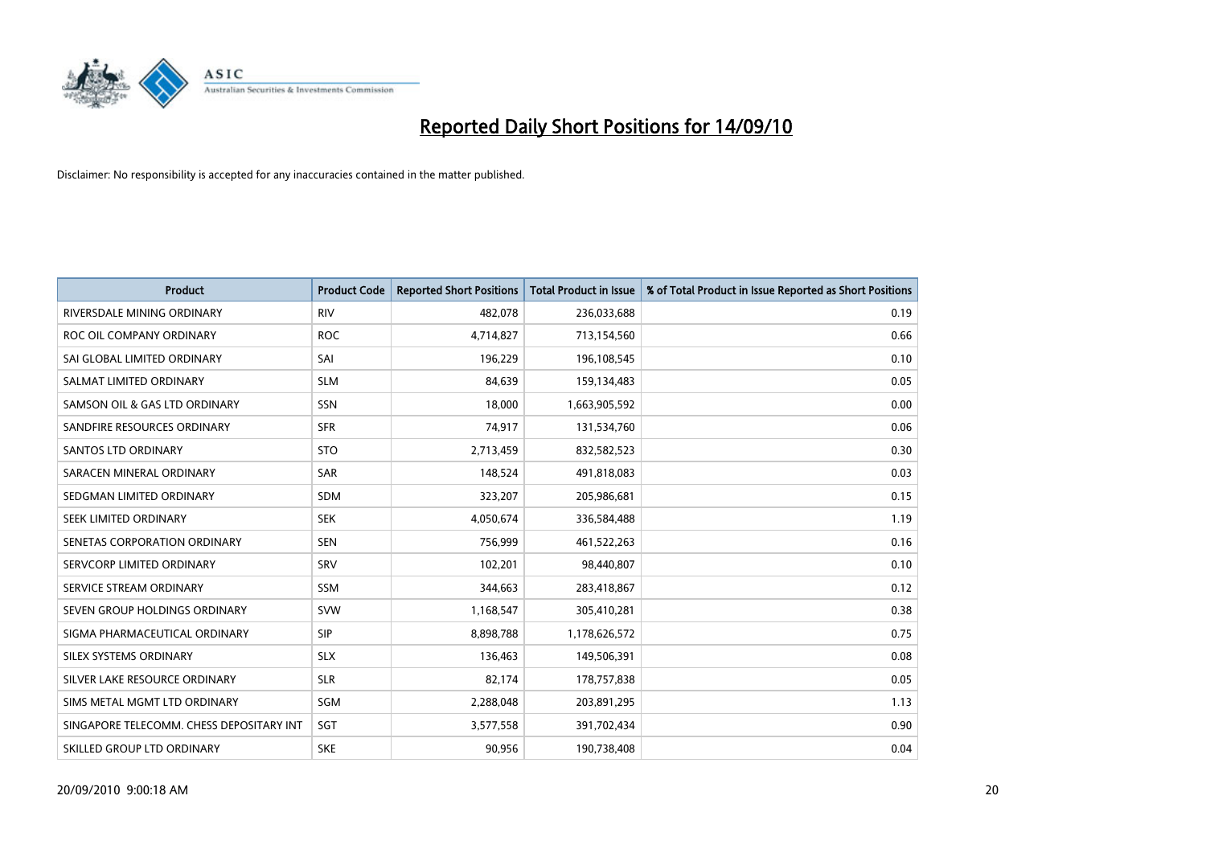

| <b>Product</b>                           | <b>Product Code</b> | <b>Reported Short Positions</b> | <b>Total Product in Issue</b> | % of Total Product in Issue Reported as Short Positions |
|------------------------------------------|---------------------|---------------------------------|-------------------------------|---------------------------------------------------------|
| RIVERSDALE MINING ORDINARY               | <b>RIV</b>          | 482,078                         | 236,033,688                   | 0.19                                                    |
| ROC OIL COMPANY ORDINARY                 | <b>ROC</b>          | 4,714,827                       | 713,154,560                   | 0.66                                                    |
| SAI GLOBAL LIMITED ORDINARY              | SAI                 | 196,229                         | 196,108,545                   | 0.10                                                    |
| SALMAT LIMITED ORDINARY                  | <b>SLM</b>          | 84,639                          | 159,134,483                   | 0.05                                                    |
| SAMSON OIL & GAS LTD ORDINARY            | SSN                 | 18,000                          | 1,663,905,592                 | 0.00                                                    |
| SANDFIRE RESOURCES ORDINARY              | <b>SFR</b>          | 74,917                          | 131,534,760                   | 0.06                                                    |
| <b>SANTOS LTD ORDINARY</b>               | <b>STO</b>          | 2,713,459                       | 832,582,523                   | 0.30                                                    |
| SARACEN MINERAL ORDINARY                 | <b>SAR</b>          | 148,524                         | 491,818,083                   | 0.03                                                    |
| SEDGMAN LIMITED ORDINARY                 | <b>SDM</b>          | 323,207                         | 205,986,681                   | 0.15                                                    |
| SEEK LIMITED ORDINARY                    | <b>SEK</b>          | 4,050,674                       | 336,584,488                   | 1.19                                                    |
| SENETAS CORPORATION ORDINARY             | <b>SEN</b>          | 756,999                         | 461,522,263                   | 0.16                                                    |
| SERVCORP LIMITED ORDINARY                | SRV                 | 102,201                         | 98,440,807                    | 0.10                                                    |
| SERVICE STREAM ORDINARY                  | <b>SSM</b>          | 344,663                         | 283,418,867                   | 0.12                                                    |
| SEVEN GROUP HOLDINGS ORDINARY            | <b>SVW</b>          | 1,168,547                       | 305,410,281                   | 0.38                                                    |
| SIGMA PHARMACEUTICAL ORDINARY            | SIP                 | 8,898,788                       | 1,178,626,572                 | 0.75                                                    |
| SILEX SYSTEMS ORDINARY                   | <b>SLX</b>          | 136,463                         | 149,506,391                   | 0.08                                                    |
| SILVER LAKE RESOURCE ORDINARY            | <b>SLR</b>          | 82,174                          | 178,757,838                   | 0.05                                                    |
| SIMS METAL MGMT LTD ORDINARY             | SGM                 | 2,288,048                       | 203,891,295                   | 1.13                                                    |
| SINGAPORE TELECOMM. CHESS DEPOSITARY INT | SGT                 | 3,577,558                       | 391,702,434                   | 0.90                                                    |
| SKILLED GROUP LTD ORDINARY               | <b>SKE</b>          | 90,956                          | 190,738,408                   | 0.04                                                    |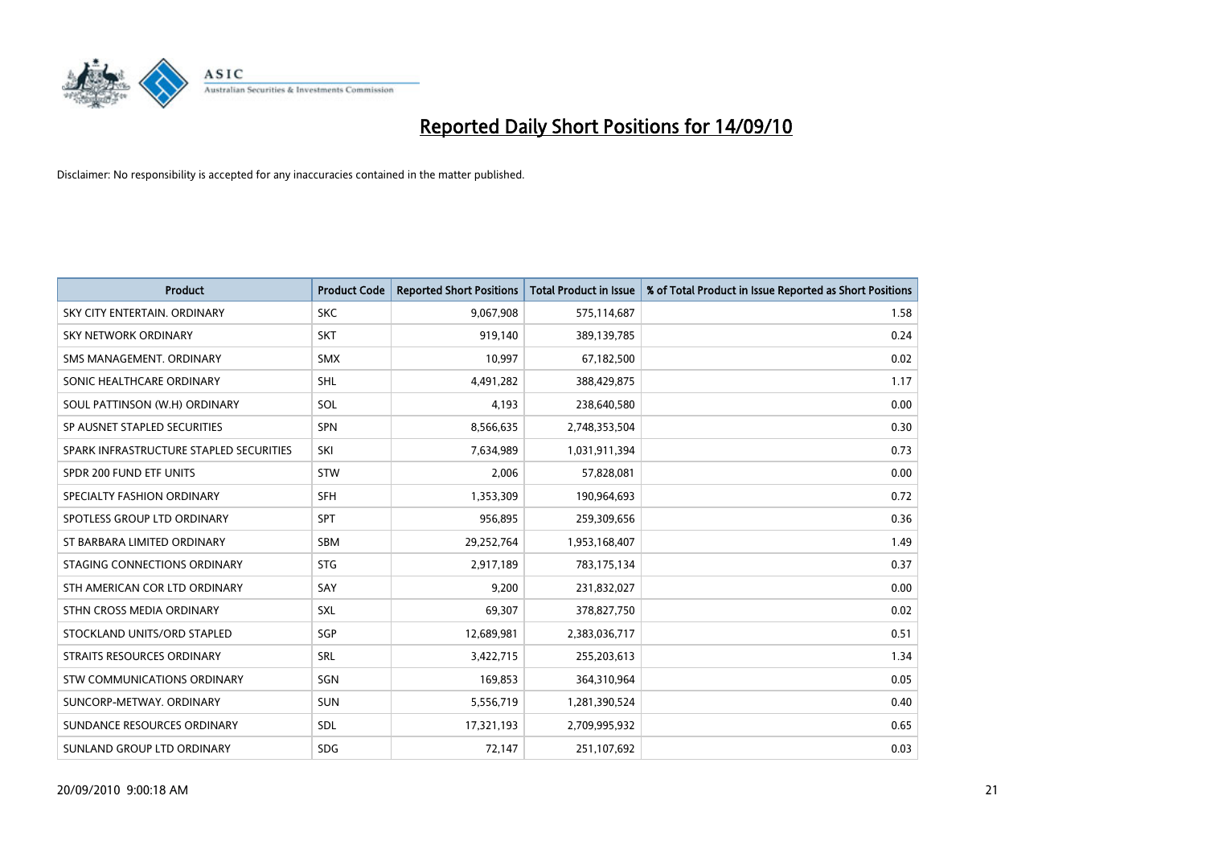

| <b>Product</b>                          | <b>Product Code</b> | <b>Reported Short Positions</b> | <b>Total Product in Issue</b> | % of Total Product in Issue Reported as Short Positions |
|-----------------------------------------|---------------------|---------------------------------|-------------------------------|---------------------------------------------------------|
| SKY CITY ENTERTAIN, ORDINARY            | <b>SKC</b>          | 9,067,908                       | 575,114,687                   | 1.58                                                    |
| SKY NETWORK ORDINARY                    | <b>SKT</b>          | 919,140                         | 389,139,785                   | 0.24                                                    |
| SMS MANAGEMENT, ORDINARY                | <b>SMX</b>          | 10.997                          | 67,182,500                    | 0.02                                                    |
| SONIC HEALTHCARE ORDINARY               | <b>SHL</b>          | 4,491,282                       | 388,429,875                   | 1.17                                                    |
| SOUL PATTINSON (W.H) ORDINARY           | SOL                 | 4,193                           | 238,640,580                   | 0.00                                                    |
| SP AUSNET STAPLED SECURITIES            | <b>SPN</b>          | 8,566,635                       | 2,748,353,504                 | 0.30                                                    |
| SPARK INFRASTRUCTURE STAPLED SECURITIES | SKI                 | 7,634,989                       | 1,031,911,394                 | 0.73                                                    |
| SPDR 200 FUND ETF UNITS                 | <b>STW</b>          | 2,006                           | 57,828,081                    | 0.00                                                    |
| SPECIALTY FASHION ORDINARY              | <b>SFH</b>          | 1,353,309                       | 190,964,693                   | 0.72                                                    |
| SPOTLESS GROUP LTD ORDINARY             | <b>SPT</b>          | 956,895                         | 259,309,656                   | 0.36                                                    |
| ST BARBARA LIMITED ORDINARY             | <b>SBM</b>          | 29,252,764                      | 1,953,168,407                 | 1.49                                                    |
| STAGING CONNECTIONS ORDINARY            | <b>STG</b>          | 2,917,189                       | 783,175,134                   | 0.37                                                    |
| STH AMERICAN COR LTD ORDINARY           | SAY                 | 9,200                           | 231,832,027                   | 0.00                                                    |
| STHN CROSS MEDIA ORDINARY               | SXL                 | 69,307                          | 378,827,750                   | 0.02                                                    |
| STOCKLAND UNITS/ORD STAPLED             | SGP                 | 12,689,981                      | 2,383,036,717                 | 0.51                                                    |
| STRAITS RESOURCES ORDINARY              | SRL                 | 3,422,715                       | 255,203,613                   | 1.34                                                    |
| STW COMMUNICATIONS ORDINARY             | SGN                 | 169,853                         | 364,310,964                   | 0.05                                                    |
| SUNCORP-METWAY, ORDINARY                | <b>SUN</b>          | 5,556,719                       | 1,281,390,524                 | 0.40                                                    |
| SUNDANCE RESOURCES ORDINARY             | <b>SDL</b>          | 17,321,193                      | 2,709,995,932                 | 0.65                                                    |
| SUNLAND GROUP LTD ORDINARY              | <b>SDG</b>          | 72,147                          | 251,107,692                   | 0.03                                                    |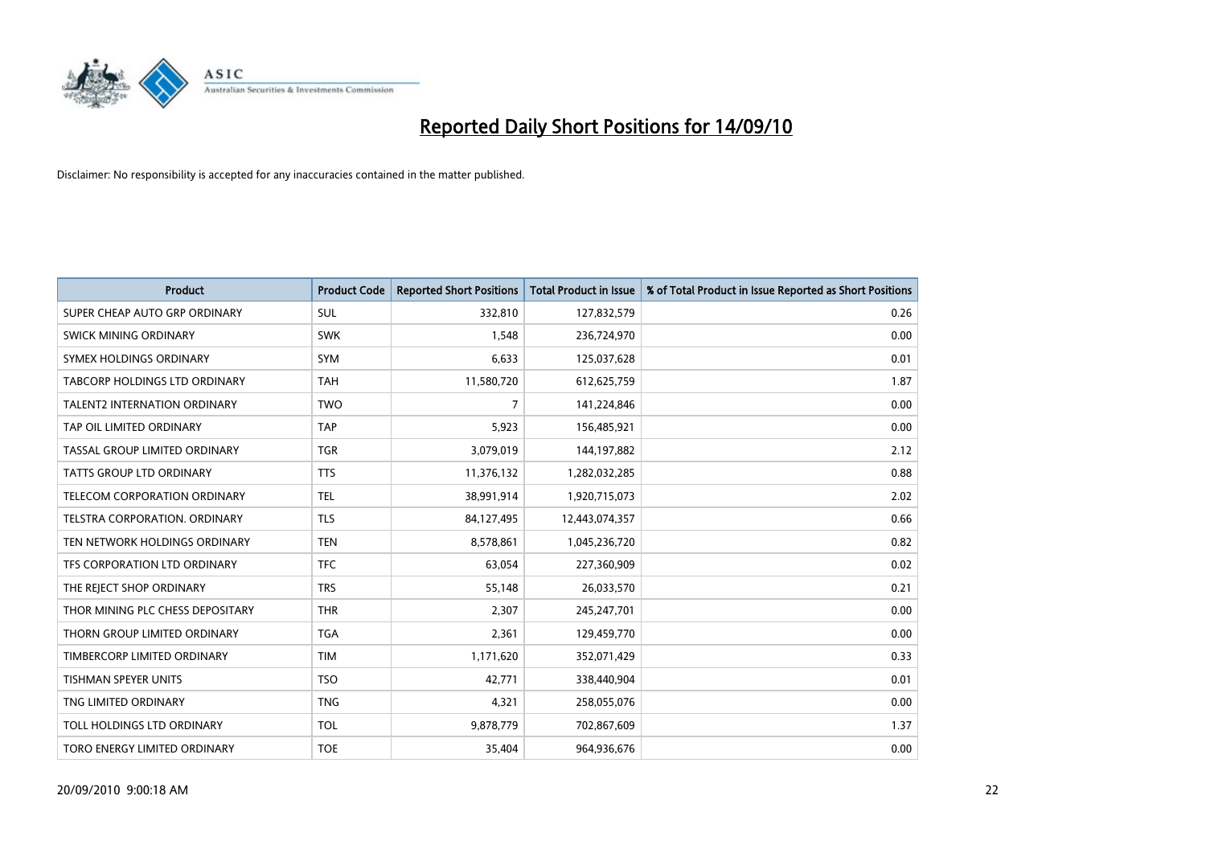

| <b>Product</b>                      | <b>Product Code</b> | <b>Reported Short Positions</b> | <b>Total Product in Issue</b> | % of Total Product in Issue Reported as Short Positions |
|-------------------------------------|---------------------|---------------------------------|-------------------------------|---------------------------------------------------------|
| SUPER CHEAP AUTO GRP ORDINARY       | <b>SUL</b>          | 332,810                         | 127,832,579                   | 0.26                                                    |
| SWICK MINING ORDINARY               | <b>SWK</b>          | 1,548                           | 236,724,970                   | 0.00                                                    |
| SYMEX HOLDINGS ORDINARY             | <b>SYM</b>          | 6.633                           | 125,037,628                   | 0.01                                                    |
| TABCORP HOLDINGS LTD ORDINARY       | <b>TAH</b>          | 11,580,720                      | 612,625,759                   | 1.87                                                    |
| <b>TALENT2 INTERNATION ORDINARY</b> | <b>TWO</b>          | $\overline{7}$                  | 141,224,846                   | 0.00                                                    |
| TAP OIL LIMITED ORDINARY            | <b>TAP</b>          | 5,923                           | 156,485,921                   | 0.00                                                    |
| TASSAL GROUP LIMITED ORDINARY       | <b>TGR</b>          | 3,079,019                       | 144,197,882                   | 2.12                                                    |
| TATTS GROUP LTD ORDINARY            | <b>TTS</b>          | 11,376,132                      | 1,282,032,285                 | 0.88                                                    |
| TELECOM CORPORATION ORDINARY        | <b>TEL</b>          | 38,991,914                      | 1,920,715,073                 | 2.02                                                    |
| TELSTRA CORPORATION, ORDINARY       | <b>TLS</b>          | 84,127,495                      | 12,443,074,357                | 0.66                                                    |
| TEN NETWORK HOLDINGS ORDINARY       | <b>TEN</b>          | 8,578,861                       | 1,045,236,720                 | 0.82                                                    |
| TFS CORPORATION LTD ORDINARY        | <b>TFC</b>          | 63,054                          | 227,360,909                   | 0.02                                                    |
| THE REJECT SHOP ORDINARY            | <b>TRS</b>          | 55,148                          | 26,033,570                    | 0.21                                                    |
| THOR MINING PLC CHESS DEPOSITARY    | <b>THR</b>          | 2,307                           | 245,247,701                   | 0.00                                                    |
| THORN GROUP LIMITED ORDINARY        | <b>TGA</b>          | 2,361                           | 129,459,770                   | 0.00                                                    |
| TIMBERCORP LIMITED ORDINARY         | <b>TIM</b>          | 1,171,620                       | 352,071,429                   | 0.33                                                    |
| TISHMAN SPEYER UNITS                | <b>TSO</b>          | 42,771                          | 338,440,904                   | 0.01                                                    |
| TNG LIMITED ORDINARY                | <b>TNG</b>          | 4,321                           | 258,055,076                   | 0.00                                                    |
| TOLL HOLDINGS LTD ORDINARY          | <b>TOL</b>          | 9,878,779                       | 702,867,609                   | 1.37                                                    |
| TORO ENERGY LIMITED ORDINARY        | <b>TOE</b>          | 35,404                          | 964,936,676                   | 0.00                                                    |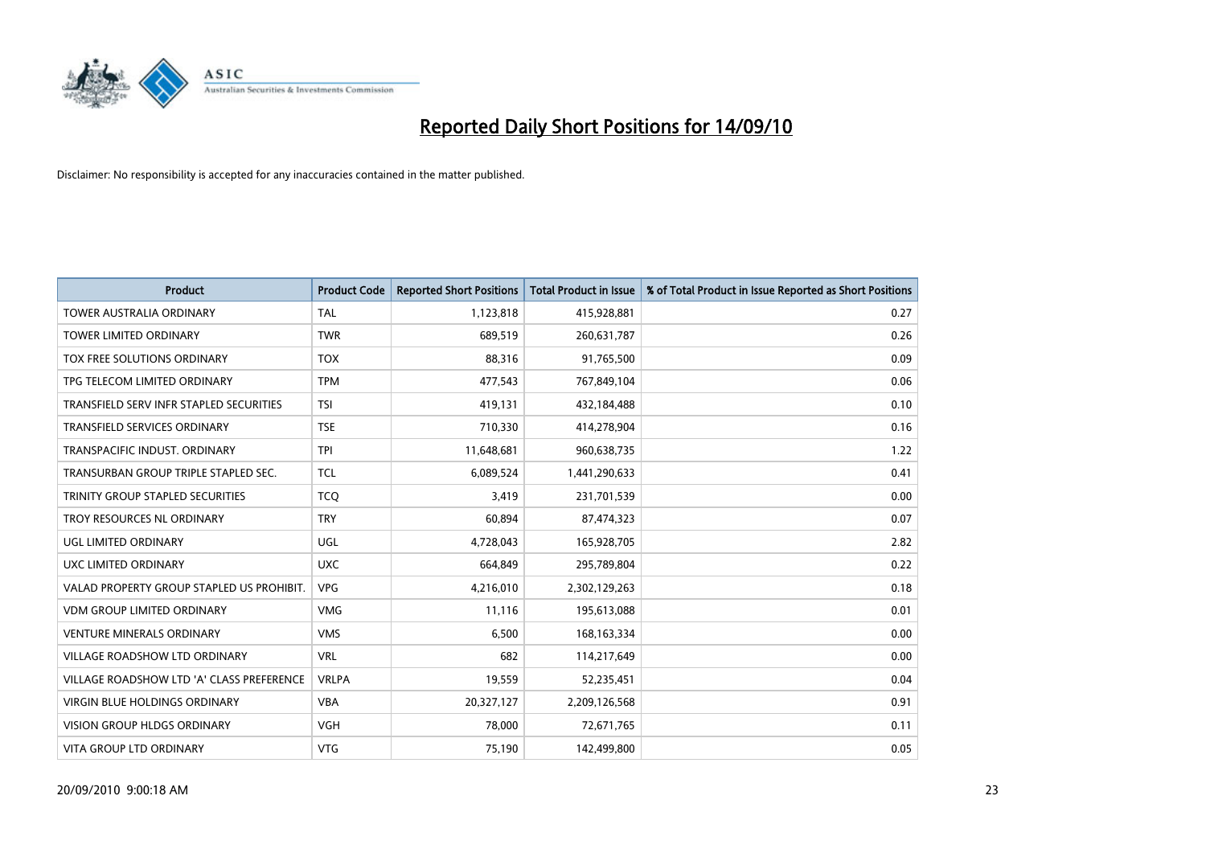

| <b>Product</b>                            | <b>Product Code</b> | <b>Reported Short Positions</b> | Total Product in Issue | % of Total Product in Issue Reported as Short Positions |
|-------------------------------------------|---------------------|---------------------------------|------------------------|---------------------------------------------------------|
| <b>TOWER AUSTRALIA ORDINARY</b>           | <b>TAL</b>          | 1,123,818                       | 415,928,881            | 0.27                                                    |
| TOWER LIMITED ORDINARY                    | <b>TWR</b>          | 689,519                         | 260,631,787            | 0.26                                                    |
| TOX FREE SOLUTIONS ORDINARY               | <b>TOX</b>          | 88,316                          | 91,765,500             | 0.09                                                    |
| TPG TELECOM LIMITED ORDINARY              | <b>TPM</b>          | 477,543                         | 767,849,104            | 0.06                                                    |
| TRANSFIELD SERV INFR STAPLED SECURITIES   | <b>TSI</b>          | 419,131                         | 432,184,488            | 0.10                                                    |
| TRANSFIELD SERVICES ORDINARY              | <b>TSE</b>          | 710,330                         | 414,278,904            | 0.16                                                    |
| TRANSPACIFIC INDUST, ORDINARY             | <b>TPI</b>          | 11,648,681                      | 960,638,735            | 1.22                                                    |
| TRANSURBAN GROUP TRIPLE STAPLED SEC.      | <b>TCL</b>          | 6,089,524                       | 1,441,290,633          | 0.41                                                    |
| TRINITY GROUP STAPLED SECURITIES          | <b>TCO</b>          | 3,419                           | 231,701,539            | 0.00                                                    |
| TROY RESOURCES NL ORDINARY                | <b>TRY</b>          | 60,894                          | 87,474,323             | 0.07                                                    |
| UGL LIMITED ORDINARY                      | UGL                 | 4,728,043                       | 165,928,705            | 2.82                                                    |
| UXC LIMITED ORDINARY                      | <b>UXC</b>          | 664,849                         | 295,789,804            | 0.22                                                    |
| VALAD PROPERTY GROUP STAPLED US PROHIBIT. | <b>VPG</b>          | 4,216,010                       | 2,302,129,263          | 0.18                                                    |
| <b>VDM GROUP LIMITED ORDINARY</b>         | <b>VMG</b>          | 11,116                          | 195,613,088            | 0.01                                                    |
| <b>VENTURE MINERALS ORDINARY</b>          | <b>VMS</b>          | 6,500                           | 168, 163, 334          | 0.00                                                    |
| VILLAGE ROADSHOW LTD ORDINARY             | <b>VRL</b>          | 682                             | 114,217,649            | 0.00                                                    |
| VILLAGE ROADSHOW LTD 'A' CLASS PREFERENCE | <b>VRLPA</b>        | 19,559                          | 52,235,451             | 0.04                                                    |
| VIRGIN BLUE HOLDINGS ORDINARY             | <b>VBA</b>          | 20,327,127                      | 2,209,126,568          | 0.91                                                    |
| <b>VISION GROUP HLDGS ORDINARY</b>        | <b>VGH</b>          | 78.000                          | 72,671,765             | 0.11                                                    |
| <b>VITA GROUP LTD ORDINARY</b>            | <b>VTG</b>          | 75,190                          | 142.499.800            | 0.05                                                    |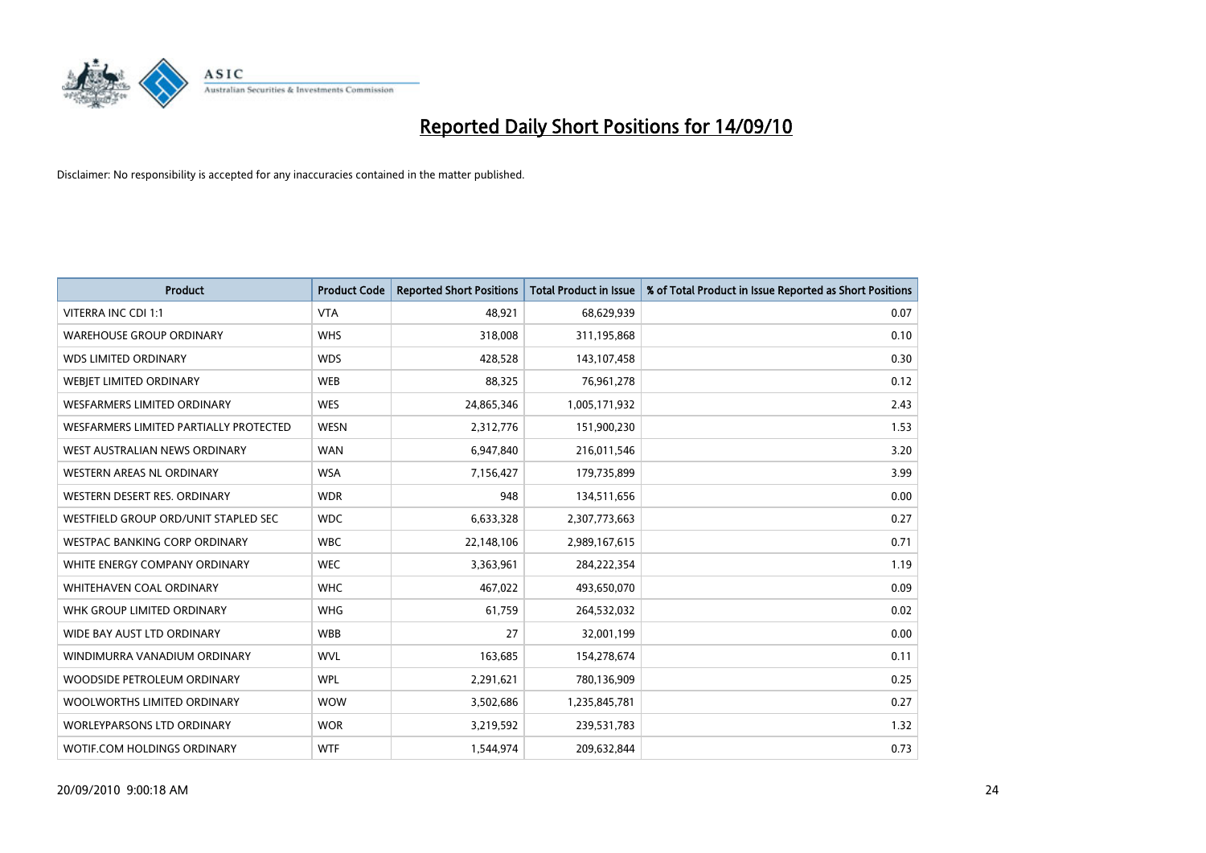

| <b>Product</b>                         | <b>Product Code</b> | <b>Reported Short Positions</b> | <b>Total Product in Issue</b> | % of Total Product in Issue Reported as Short Positions |
|----------------------------------------|---------------------|---------------------------------|-------------------------------|---------------------------------------------------------|
| <b>VITERRA INC CDI 1:1</b>             | <b>VTA</b>          | 48.921                          | 68,629,939                    | 0.07                                                    |
| <b>WAREHOUSE GROUP ORDINARY</b>        | <b>WHS</b>          | 318,008                         | 311,195,868                   | 0.10                                                    |
| <b>WDS LIMITED ORDINARY</b>            | <b>WDS</b>          | 428.528                         | 143,107,458                   | 0.30                                                    |
| WEBJET LIMITED ORDINARY                | <b>WEB</b>          | 88,325                          | 76,961,278                    | 0.12                                                    |
| <b>WESFARMERS LIMITED ORDINARY</b>     | <b>WES</b>          | 24,865,346                      | 1,005,171,932                 | 2.43                                                    |
| WESFARMERS LIMITED PARTIALLY PROTECTED | <b>WESN</b>         | 2,312,776                       | 151,900,230                   | 1.53                                                    |
| WEST AUSTRALIAN NEWS ORDINARY          | <b>WAN</b>          | 6,947,840                       | 216,011,546                   | 3.20                                                    |
| <b>WESTERN AREAS NL ORDINARY</b>       | <b>WSA</b>          | 7,156,427                       | 179,735,899                   | 3.99                                                    |
| WESTERN DESERT RES. ORDINARY           | <b>WDR</b>          | 948                             | 134,511,656                   | 0.00                                                    |
| WESTFIELD GROUP ORD/UNIT STAPLED SEC   | <b>WDC</b>          | 6,633,328                       | 2,307,773,663                 | 0.27                                                    |
| WESTPAC BANKING CORP ORDINARY          | <b>WBC</b>          | 22,148,106                      | 2,989,167,615                 | 0.71                                                    |
| WHITE ENERGY COMPANY ORDINARY          | <b>WEC</b>          | 3,363,961                       | 284,222,354                   | 1.19                                                    |
| WHITEHAVEN COAL ORDINARY               | <b>WHC</b>          | 467,022                         | 493,650,070                   | 0.09                                                    |
| WHK GROUP LIMITED ORDINARY             | <b>WHG</b>          | 61,759                          | 264,532,032                   | 0.02                                                    |
| WIDE BAY AUST LTD ORDINARY             | <b>WBB</b>          | 27                              | 32,001,199                    | 0.00                                                    |
| WINDIMURRA VANADIUM ORDINARY           | <b>WVL</b>          | 163,685                         | 154,278,674                   | 0.11                                                    |
| WOODSIDE PETROLEUM ORDINARY            | <b>WPL</b>          | 2,291,621                       | 780,136,909                   | 0.25                                                    |
| WOOLWORTHS LIMITED ORDINARY            | <b>WOW</b>          | 3,502,686                       | 1,235,845,781                 | 0.27                                                    |
| <b>WORLEYPARSONS LTD ORDINARY</b>      | <b>WOR</b>          | 3,219,592                       | 239,531,783                   | 1.32                                                    |
| WOTIF.COM HOLDINGS ORDINARY            | <b>WTF</b>          | 1,544,974                       | 209,632,844                   | 0.73                                                    |